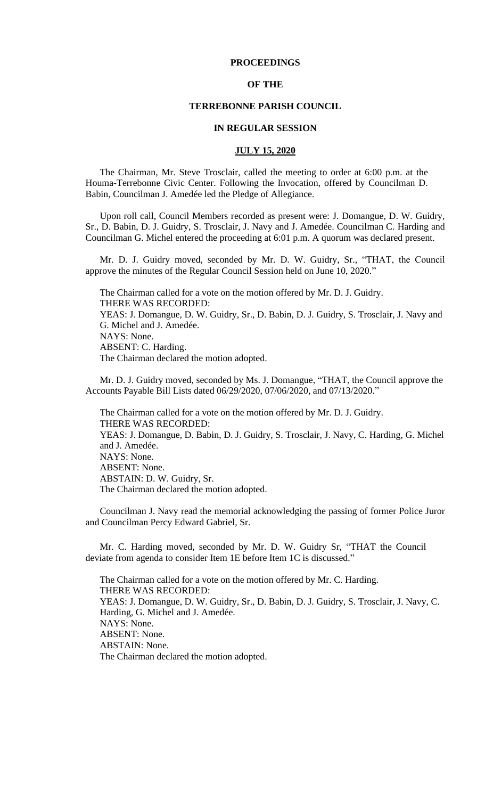# **PROCEEDINGS**

# **OF THE**

### **TERREBONNE PARISH COUNCIL**

### **IN REGULAR SESSION**

# **JULY 15, 2020**

The Chairman, Mr. Steve Trosclair, called the meeting to order at 6:00 p.m. at the Houma-Terrebonne Civic Center. Following the Invocation, offered by Councilman D. Babin, Councilman J. Amedée led the Pledge of Allegiance.

Upon roll call, Council Members recorded as present were: J. Domangue, D. W. Guidry, Sr., D. Babin, D. J. Guidry, S. Trosclair, J. Navy and J. Amedée. Councilman C. Harding and Councilman G. Michel entered the proceeding at 6:01 p.m. A quorum was declared present.

Mr. D. J. Guidry moved, seconded by Mr. D. W. Guidry, Sr., "THAT, the Council approve the minutes of the Regular Council Session held on June 10, 2020."

The Chairman called for a vote on the motion offered by Mr. D. J. Guidry. THERE WAS RECORDED: YEAS: J. Domangue, D. W. Guidry, Sr., D. Babin, D. J. Guidry, S. Trosclair, J. Navy and G. Michel and J. Amedée. NAYS: None. ABSENT: C. Harding. The Chairman declared the motion adopted.

Mr. D. J. Guidry moved, seconded by Ms. J. Domangue, "THAT, the Council approve the Accounts Payable Bill Lists dated 06/29/2020, 07/06/2020, and 07/13/2020."

The Chairman called for a vote on the motion offered by Mr. D. J. Guidry. THERE WAS RECORDED: YEAS: J. Domangue, D. Babin, D. J. Guidry, S. Trosclair, J. Navy, C. Harding, G. Michel and J. Amedée. NAYS: None. ABSENT: None. ABSTAIN: D. W. Guidry, Sr. The Chairman declared the motion adopted.

 Councilman J. Navy read the memorial acknowledging the passing of former Police Juror and Councilman Percy Edward Gabriel, Sr.

Mr. C. Harding moved, seconded by Mr. D. W. Guidry Sr, "THAT the Council deviate from agenda to consider Item 1E before Item 1C is discussed."

The Chairman called for a vote on the motion offered by Mr. C. Harding. THERE WAS RECORDED: YEAS: J. Domangue, D. W. Guidry, Sr., D. Babin, D. J. Guidry, S. Trosclair, J. Navy, C. Harding, G. Michel and J. Amedée. NAYS: None. ABSENT: None. ABSTAIN: None. The Chairman declared the motion adopted.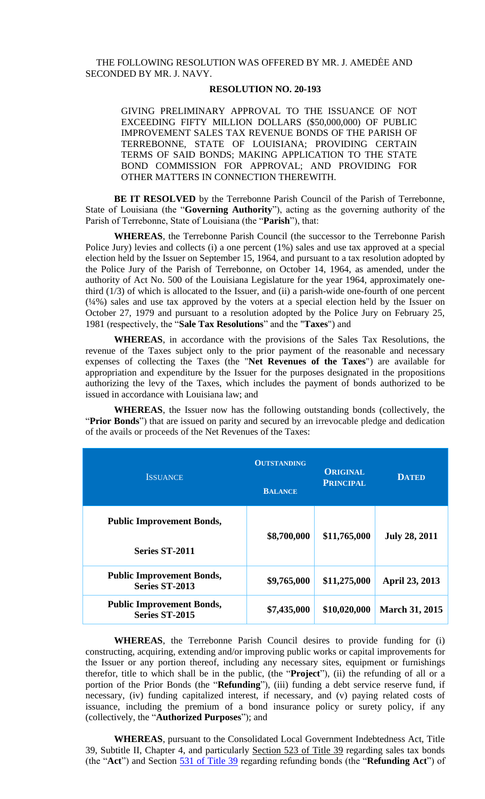# THE FOLLOWING RESOLUTION WAS OFFERED BY MR. J. AMEDĖE AND SECONDED BY MR. J. NAVY.

# **RESOLUTION NO. 20-193**

GIVING PRELIMINARY APPROVAL TO THE ISSUANCE OF NOT EXCEEDING FIFTY MILLION DOLLARS (\$50,000,000) OF PUBLIC IMPROVEMENT SALES TAX REVENUE BONDS OF THE PARISH OF TERREBONNE, STATE OF LOUISIANA; PROVIDING CERTAIN TERMS OF SAID BONDS; MAKING APPLICATION TO THE STATE BOND COMMISSION FOR APPROVAL; AND PROVIDING FOR OTHER MATTERS IN CONNECTION THEREWITH.

**BE IT RESOLVED** by the Terrebonne Parish Council of the Parish of Terrebonne, State of Louisiana (the "**Governing Authority**"), acting as the governing authority of the Parish of Terrebonne, State of Louisiana (the "**Parish**"), that:

**WHEREAS**, the Terrebonne Parish Council (the successor to the Terrebonne Parish Police Jury) levies and collects (i) a one percent (1%) sales and use tax approved at a special election held by the Issuer on September 15, 1964, and pursuant to a tax resolution adopted by the Police Jury of the Parish of Terrebonne, on October 14, 1964, as amended, under the authority of Act No. 500 of the Louisiana Legislature for the year 1964, approximately onethird  $(1/3)$  of which is allocated to the Issuer, and  $(ii)$  a parish-wide one-fourth of one percent (¼%) sales and use tax approved by the voters at a special election held by the Issuer on October 27, 1979 and pursuant to a resolution adopted by the Police Jury on February 25, 1981 (respectively, the "**Sale Tax Resolutions**" and the "**Taxes**") and

**WHEREAS**, in accordance with the provisions of the Sales Tax Resolutions, the revenue of the Taxes subject only to the prior payment of the reasonable and necessary expenses of collecting the Taxes (the "**Net Revenues of the Taxes**") are available for appropriation and expenditure by the Issuer for the purposes designated in the propositions authorizing the levy of the Taxes, which includes the payment of bonds authorized to be issued in accordance with Louisiana law; and

**WHEREAS**, the Issuer now has the following outstanding bonds (collectively, the "**Prior Bonds**") that are issued on parity and secured by an irrevocable pledge and dedication of the avails or proceeds of the Net Revenues of the Taxes:

| <b>ISSUANCE</b>                                    | <b>OUTSTANDING</b><br><b>BALANCE</b> | <b>ORIGINAL</b><br><b>PRINCIPAL</b> | <b>DATED</b>          |  |
|----------------------------------------------------|--------------------------------------|-------------------------------------|-----------------------|--|
| <b>Public Improvement Bonds,</b>                   | \$8,700,000                          | \$11,765,000                        | <b>July 28, 2011</b>  |  |
| <b>Series ST-2011</b>                              |                                      |                                     |                       |  |
| <b>Public Improvement Bonds,</b><br>Series ST-2013 | \$9,765,000                          | \$11,275,000                        | <b>April 23, 2013</b> |  |
| <b>Public Improvement Bonds,</b><br>Series ST-2015 | \$7,435,000                          | \$10,020,000                        | <b>March 31, 2015</b> |  |

**WHEREAS**, the Terrebonne Parish Council desires to provide funding for (i) constructing, acquiring, extending and/or improving public works or capital improvements for the Issuer or any portion thereof, including any necessary sites, equipment or furnishings therefor, title to which shall be in the public, (the "**Project**"), (ii) the refunding of all or a portion of the Prior Bonds (the "**Refunding**"), (iii) funding a debt service reserve fund, if necessary, (iv) funding capitalized interest, if necessary, and (v) paying related costs of issuance, including the premium of a bond insurance policy or surety policy, if any (collectively, the "**Authorized Purposes**"); and

**WHEREAS**, pursuant to the Consolidated Local Government Indebtedness Act, Title 39, Subtitle II, Chapter 4, and particularly [Section 523 of Title 39](https://docs.google.com/document/d/1GBM-wbc7mRDbgA6CiwMRW_gPsB-KbKOJyqCpnBRW16w/edit#bookmark=id.6foo5ze6dn8r) regarding sales tax bonds (the "**Act**") and Section [531 of Title 39](https://docs.google.com/document/d/1GBM-wbc7mRDbgA6CiwMRW_gPsB-KbKOJyqCpnBRW16w/edit#bookmark=id.c6ze08j592ia) regarding refunding bonds (the "**Refunding Act**") of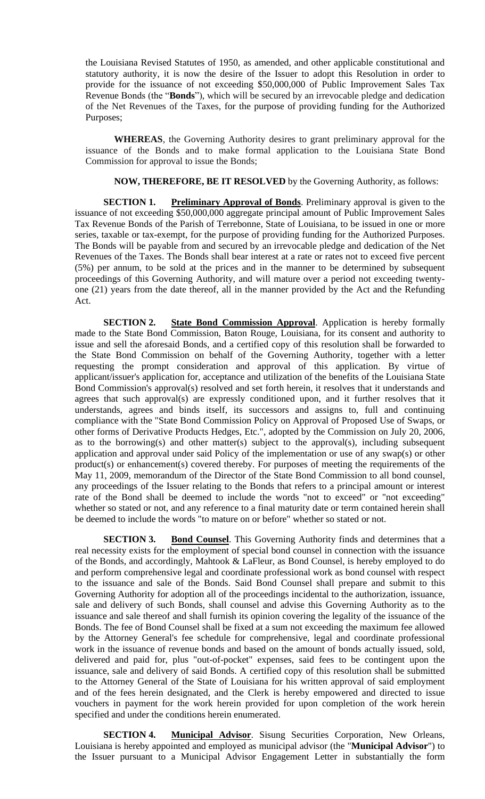the Louisiana Revised Statutes of 1950, as amended, and other applicable constitutional and statutory authority, it is now the desire of the Issuer to adopt this Resolution in order to provide for the issuance of not exceeding \$50,000,000 of Public Improvement Sales Tax Revenue Bonds (the "**Bonds**"), which will be secured by an irrevocable pledge and dedication of the Net Revenues of the Taxes, for the purpose of providing funding for the Authorized Purposes;

**WHEREAS**, the Governing Authority desires to grant preliminary approval for the issuance of the Bonds and to make formal application to the Louisiana State Bond Commission for approval to issue the Bonds;

**NOW, THEREFORE, BE IT RESOLVED** by the Governing Authority, as follows:

**SECTION 1. Preliminary Approval of Bonds**. Preliminary approval is given to the issuance of not exceeding \$50,000,000 aggregate principal amount of Public Improvement Sales Tax Revenue Bonds of the Parish of Terrebonne, State of Louisiana, to be issued in one or more series, taxable or tax-exempt, for the purpose of providing funding for the Authorized Purposes. The Bonds will be payable from and secured by an irrevocable pledge and dedication of the Net Revenues of the Taxes. The Bonds shall bear interest at a rate or rates not to exceed five percent (5%) per annum, to be sold at the prices and in the manner to be determined by subsequent proceedings of this Governing Authority, and will mature over a period not exceeding twentyone (21) years from the date thereof, all in the manner provided by the Act and the Refunding Act.

**SECTION 2. State Bond Commission Approval**. Application is hereby formally made to the State Bond Commission, Baton Rouge, Louisiana, for its consent and authority to issue and sell the aforesaid Bonds, and a certified copy of this resolution shall be forwarded to the State Bond Commission on behalf of the Governing Authority, together with a letter requesting the prompt consideration and approval of this application. By virtue of applicant/issuer's application for, acceptance and utilization of the benefits of the Louisiana State Bond Commission's approval(s) resolved and set forth herein, it resolves that it understands and agrees that such approval(s) are expressly conditioned upon, and it further resolves that it understands, agrees and binds itself, its successors and assigns to, full and continuing compliance with the "State Bond Commission Policy on Approval of Proposed Use of Swaps, or other forms of Derivative Products Hedges, Etc.", adopted by the Commission on July 20, 2006, as to the borrowing(s) and other matter(s) subject to the approval(s), including subsequent application and approval under said Policy of the implementation or use of any swap(s) or other product(s) or enhancement(s) covered thereby. For purposes of meeting the requirements of the May 11, 2009, memorandum of the Director of the State Bond Commission to all bond counsel, any proceedings of the Issuer relating to the Bonds that refers to a principal amount or interest rate of the Bond shall be deemed to include the words "not to exceed" or "not exceeding" whether so stated or not, and any reference to a final maturity date or term contained herein shall be deemed to include the words "to mature on or before" whether so stated or not.

**SECTION 3.** Bond Counsel. This Governing Authority finds and determines that a real necessity exists for the employment of special bond counsel in connection with the issuance of the Bonds, and accordingly, Mahtook & LaFleur, as Bond Counsel, is hereby employed to do and perform comprehensive legal and coordinate professional work as bond counsel with respect to the issuance and sale of the Bonds. Said Bond Counsel shall prepare and submit to this Governing Authority for adoption all of the proceedings incidental to the authorization, issuance, sale and delivery of such Bonds, shall counsel and advise this Governing Authority as to the issuance and sale thereof and shall furnish its opinion covering the legality of the issuance of the Bonds. The fee of Bond Counsel shall be fixed at a sum not exceeding the maximum fee allowed by the Attorney General's fee schedule for comprehensive, legal and coordinate professional work in the issuance of revenue bonds and based on the amount of bonds actually issued, sold, delivered and paid for, plus "out-of-pocket" expenses, said fees to be contingent upon the issuance, sale and delivery of said Bonds. A certified copy of this resolution shall be submitted to the Attorney General of the State of Louisiana for his written approval of said employment and of the fees herein designated, and the Clerk is hereby empowered and directed to issue vouchers in payment for the work herein provided for upon completion of the work herein specified and under the conditions herein enumerated.

**SECTION 4. Municipal Advisor**. Sisung Securities Corporation, New Orleans, Louisiana is hereby appointed and employed as municipal advisor (the "**Municipal Advisor**") to the Issuer pursuant to a Municipal Advisor Engagement Letter in substantially the form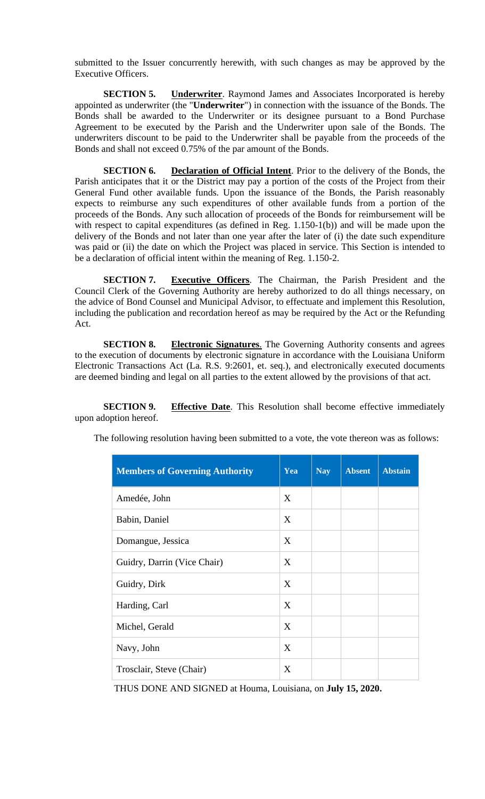submitted to the Issuer concurrently herewith, with such changes as may be approved by the Executive Officers.

**SECTION 5. Underwriter**. Raymond James and Associates Incorporated is hereby appointed as underwriter (the "**Underwriter**") in connection with the issuance of the Bonds. The Bonds shall be awarded to the Underwriter or its designee pursuant to a Bond Purchase Agreement to be executed by the Parish and the Underwriter upon sale of the Bonds. The underwriters discount to be paid to the Underwriter shall be payable from the proceeds of the Bonds and shall not exceed 0.75% of the par amount of the Bonds.

**SECTION 6. Declaration of Official Intent**. Prior to the delivery of the Bonds, the Parish anticipates that it or the District may pay a portion of the costs of the Project from their General Fund other available funds. Upon the issuance of the Bonds, the Parish reasonably expects to reimburse any such expenditures of other available funds from a portion of the proceeds of the Bonds. Any such allocation of proceeds of the Bonds for reimbursement will be with respect to capital expenditures (as defined in Reg. 1.150-1(b)) and will be made upon the delivery of the Bonds and not later than one year after the later of (i) the date such expenditure was paid or (ii) the date on which the Project was placed in service. This Section is intended to be a declaration of official intent within the meaning of Reg. 1.150-2.

**SECTION 7. Executive Officers**. The Chairman, the Parish President and the Council Clerk of the Governing Authority are hereby authorized to do all things necessary, on the advice of Bond Counsel and Municipal Advisor, to effectuate and implement this Resolution, including the publication and recordation hereof as may be required by the Act or the Refunding Act.

**SECTION 8. Electronic Signatures**. The Governing Authority consents and agrees to the execution of documents by electronic signature in accordance with the Louisiana Uniform Electronic Transactions Act (La. R.S. 9:2601, et. seq.), and electronically executed documents are deemed binding and legal on all parties to the extent allowed by the provisions of that act.

**SECTION 9. Effective Date**. This Resolution shall become effective immediately upon adoption hereof.

|  |  |  | The following resolution having been submitted to a vote, the vote thereon was as follows: |
|--|--|--|--------------------------------------------------------------------------------------------|

| <b>Members of Governing Authority</b> | Yea | <b>Nay</b> | <b>Absent</b> | <b>Abstain</b> |
|---------------------------------------|-----|------------|---------------|----------------|
| Amedée, John                          | X   |            |               |                |
| Babin, Daniel                         | X   |            |               |                |
| Domangue, Jessica                     | X   |            |               |                |
| Guidry, Darrin (Vice Chair)           | X   |            |               |                |
| Guidry, Dirk                          | X   |            |               |                |
| Harding, Carl                         | X   |            |               |                |
| Michel, Gerald                        | X   |            |               |                |
| Navy, John                            | X   |            |               |                |
| Trosclair, Steve (Chair)              | X   |            |               |                |

THUS DONE AND SIGNED at Houma, Louisiana, on **July 15, 2020.**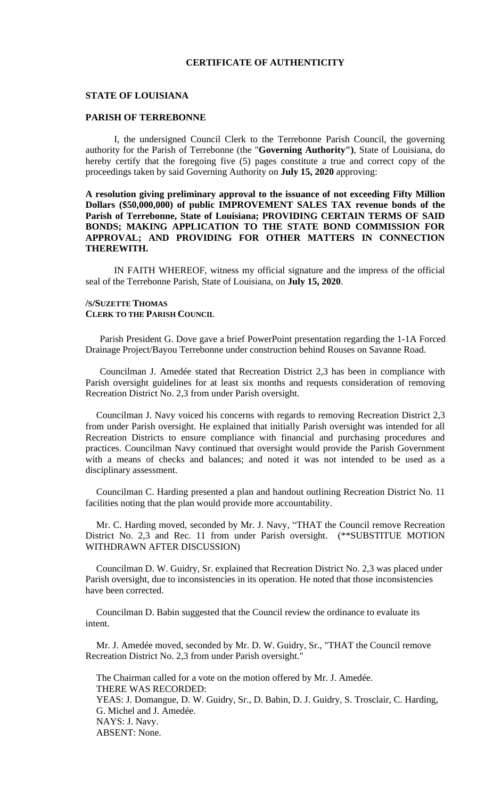# **CERTIFICATE OF AUTHENTICITY**

### **STATE OF LOUISIANA**

## **PARISH OF TERREBONNE**

I, the undersigned Council Clerk to the Terrebonne Parish Council, the governing authority for the Parish of Terrebonne (the "**Governing Authority")**, State of Louisiana, do hereby certify that the foregoing five (5) pages constitute a true and correct copy of the proceedings taken by said Governing Authority on **July 15, 2020** approving:

# **A resolution giving preliminary approval to the issuance of not exceeding Fifty Million Dollars (\$50,000,000) of public IMPROVEMENT SALES TAX revenue bonds of the Parish of Terrebonne, State of Louisiana; PROVIDING CERTAIN TERMS OF SAID BONDS; MAKING APPLICATION TO THE STATE BOND COMMISSION FOR APPROVAL; AND PROVIDING FOR OTHER MATTERS IN CONNECTION THEREWITH.**

IN FAITH WHEREOF, witness my official signature and the impress of the official seal of the Terrebonne Parish, State of Louisiana, on **July 15, 2020**.

### **/S/SUZETTE THOMAS CLERK TO THE PARISH COUNCIL**

Parish President G. Dove gave a brief PowerPoint presentation regarding the 1-1A Forced Drainage Project/Bayou Terrebonne under construction behind Rouses on Savanne Road.

Councilman J. Amedée stated that Recreation District 2,3 has been in compliance with Parish oversight guidelines for at least six months and requests consideration of removing Recreation District No. 2,3 from under Parish oversight.

Councilman J. Navy voiced his concerns with regards to removing Recreation District 2,3 from under Parish oversight. He explained that initially Parish oversight was intended for all Recreation Districts to ensure compliance with financial and purchasing procedures and practices. Councilman Navy continued that oversight would provide the Parish Government with a means of checks and balances; and noted it was not intended to be used as a disciplinary assessment.

Councilman C. Harding presented a plan and handout outlining Recreation District No. 11 facilities noting that the plan would provide more accountability.

Mr. C. Harding moved, seconded by Mr. J. Navy, "THAT the Council remove Recreation District No. 2,3 and Rec. 11 from under Parish oversight. (\*\*SUBSTITUE MOTION WITHDRAWN AFTER DISCUSSION)

Councilman D. W. Guidry, Sr. explained that Recreation District No. 2,3 was placed under Parish oversight, due to inconsistencies in its operation. He noted that those inconsistencies have been corrected.

Councilman D. Babin suggested that the Council review the ordinance to evaluate its intent.

Mr. J. Amedée moved, seconded by Mr. D. W. Guidry, Sr., "THAT the Council remove Recreation District No. 2,3 from under Parish oversight."

The Chairman called for a vote on the motion offered by Mr. J. Amedée. THERE WAS RECORDED: YEAS: J. Domangue, D. W. Guidry, Sr., D. Babin, D. J. Guidry, S. Trosclair, C. Harding, G. Michel and J. Amedée. NAYS: J. Navy. ABSENT: None.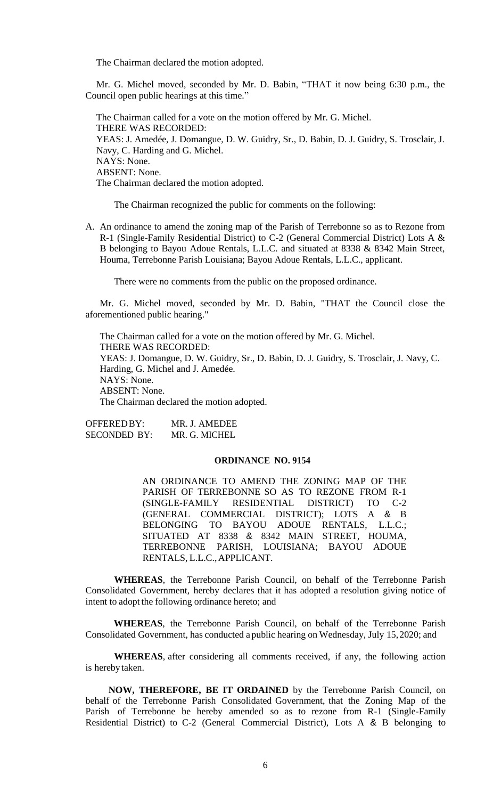The Chairman declared the motion adopted.

Mr. G. Michel moved, seconded by Mr. D. Babin, "THAT it now being 6:30 p.m., the Council open public hearings at this time."

The Chairman called for a vote on the motion offered by Mr. G. Michel. THERE WAS RECORDED: YEAS: J. Amedée, J. Domangue, D. W. Guidry, Sr., D. Babin, D. J. Guidry, S. Trosclair, J. Navy, C. Harding and G. Michel. NAYS: None. ABSENT: None. The Chairman declared the motion adopted.

The Chairman recognized the public for comments on the following:

A. An ordinance to amend the zoning map of the Parish of Terrebonne so as to Rezone from R-1 (Single-Family Residential District) to C-2 (General Commercial District) Lots A & B belonging to Bayou Adoue Rentals, L.L.C. and situated at 8338 & 8342 Main Street, Houma, Terrebonne Parish Louisiana; Bayou Adoue Rentals, L.L.C., applicant.

There were no comments from the public on the proposed ordinance.

Mr. G. Michel moved, seconded by Mr. D. Babin, "THAT the Council close the aforementioned public hearing."

The Chairman called for a vote on the motion offered by Mr. G. Michel. THERE WAS RECORDED: YEAS: J. Domangue, D. W. Guidry, Sr., D. Babin, D. J. Guidry, S. Trosclair, J. Navy, C. Harding, G. Michel and J. Amedée. NAYS: None. ABSENT: None. The Chairman declared the motion adopted.

| OFFERED BY:  | MR. J. AMEDEE |
|--------------|---------------|
| SECONDED BY: | MR. G. MICHEL |

#### **ORDINANCE NO. 9154**

AN ORDINANCE TO AMEND THE ZONING MAP OF THE PARISH OF TERREBONNE SO AS TO REZONE FROM R-1 (SINGLE-FAMILY RESIDENTIAL DISTRICT) TO C-2 (GENERAL COMMERCIAL DISTRICT); LOTS A & B BELONGING TO BAYOU ADOUE RENTALS, L.L.C.; SITUATED AT 8338 & 8342 MAIN STREET, HOUMA, TERREBONNE PARISH, LOUISIANA; BAYOU ADOUE RENTALS, L.L.C.,APPLICANT.

**WHEREAS**, the Terrebonne Parish Council, on behalf of the Terrebonne Parish Consolidated Government, hereby declares that it has adopted a resolution giving notice of intent to adopt the following ordinance hereto; and

**WHEREAS**, the Terrebonne Parish Council, on behalf of the Terrebonne Parish Consolidated Government, has conducted a public hearing on Wednesday, July 15,2020; and

**WHEREAS**, after considering all comments received, if any, the following action is hereby taken.

**NOW, THEREFORE, BE IT ORDAINED** by the Terrebonne Parish Council, on behalf of the Terrebonne Parish Consolidated Government, that the Zoning Map of the Parish of Terrebonne be hereby amended so as to rezone from R-1 (Single-Family Residential District) to C-2 (General Commercial District), Lots A & B belonging to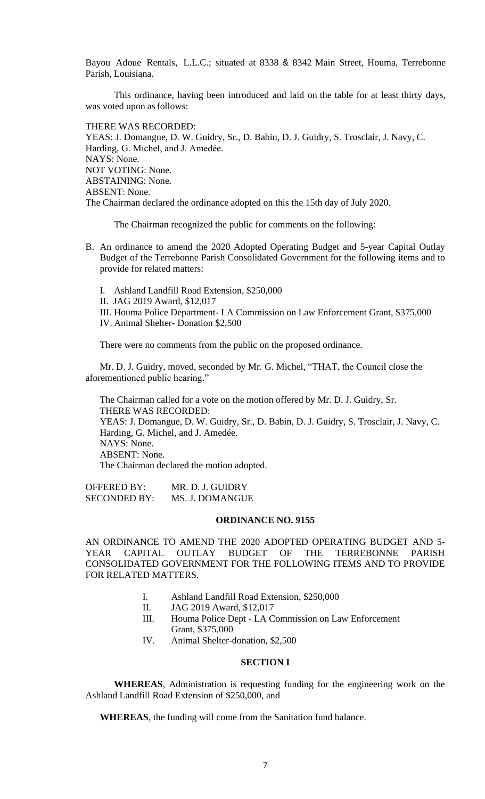Bayou Adoue Rentals, L.L.C.; situated at 8338 & 8342 Main Street, Houma, Terrebonne Parish, Louisiana.

This ordinance, having been introduced and laid on the table for at least thirty days, was voted upon as follows:

THERE WAS RECORDED: YEAS: J. Domangue, D. W. Guidry, Sr., D. Babin, D. J. Guidry, S. Trosclair, J. Navy, C. Harding, G. Michel, and J. Amedée. NAYS: None. NOT VOTING: None. ABSTAINING: None. ABSENT: None. The Chairman declared the ordinance adopted on this the 15th day of July 2020.

The Chairman recognized the public for comments on the following:

- B. An ordinance to amend the 2020 Adopted Operating Budget and 5-year Capital Outlay Budget of the Terrebonne Parish Consolidated Government for the following items and to provide for related matters:
	- I. Ashland Landfill Road Extension, \$250,000
	- II. JAG 2019 Award, \$12,017
	- III. Houma Police Department- LA Commission on Law Enforcement Grant, \$375,000

IV. Animal Shelter- Donation \$2,500

There were no comments from the public on the proposed ordinance.

Mr. D. J. Guidry, moved, seconded by Mr. G. Michel, "THAT, the Council close the aforementioned public hearing."

The Chairman called for a vote on the motion offered by Mr. D. J. Guidry, Sr. THERE WAS RECORDED: YEAS: J. Domangue, D. W. Guidry, Sr., D. Babin, D. J. Guidry, S. Trosclair, J. Navy, C. Harding, G. Michel, and J. Amedée. NAYS: None. ABSENT: None. The Chairman declared the motion adopted.

OFFERED BY: MR. D. J. GUIDRY SECONDED BY: MS. J. DOMANGUE

### **ORDINANCE NO. 9155**

AN ORDINANCE TO AMEND THE 2020 ADOPTED OPERATING BUDGET AND 5- YEAR CAPITAL OUTLAY BUDGET OF THE TERREBONNE PARISH CONSOLIDATED GOVERNMENT FOR THE FOLLOWING ITEMS AND TO PROVIDE FOR RELATED MATTERS.

- I. Ashland Landfill Road Extension, \$250,000
- II. JAG 2019 Award, \$12,017
- III. Houma Police Dept LA Commission on Law Enforcement Grant, \$375,000
- IV. Animal Shelter-donation, \$2,500

# **SECTION I**

**WHEREAS**, Administration is requesting funding for the engineering work on the Ashland Landfill Road Extension of \$250,000, and

**WHEREAS**, the funding will come from the Sanitation fund balance.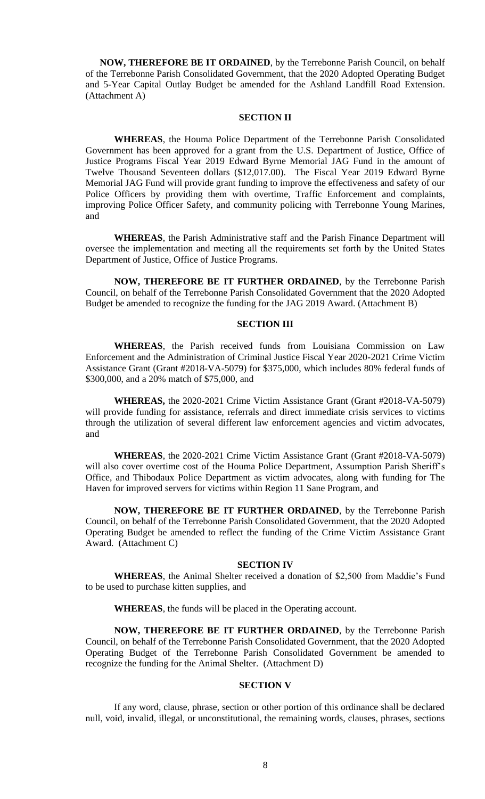**NOW, THEREFORE BE IT ORDAINED**, by the Terrebonne Parish Council, on behalf of the Terrebonne Parish Consolidated Government, that the 2020 Adopted Operating Budget and 5-Year Capital Outlay Budget be amended for the Ashland Landfill Road Extension. (Attachment A)

### **SECTION II**

**WHEREAS**, the Houma Police Department of the Terrebonne Parish Consolidated Government has been approved for a grant from the U.S. Department of Justice, Office of Justice Programs Fiscal Year 2019 Edward Byrne Memorial JAG Fund in the amount of Twelve Thousand Seventeen dollars (\$12,017.00). The Fiscal Year 2019 Edward Byrne Memorial JAG Fund will provide grant funding to improve the effectiveness and safety of our Police Officers by providing them with overtime, Traffic Enforcement and complaints, improving Police Officer Safety, and community policing with Terrebonne Young Marines, and

**WHEREAS**, the Parish Administrative staff and the Parish Finance Department will oversee the implementation and meeting all the requirements set forth by the United States Department of Justice, Office of Justice Programs.

**NOW, THEREFORE BE IT FURTHER ORDAINED**, by the Terrebonne Parish Council, on behalf of the Terrebonne Parish Consolidated Government that the 2020 Adopted Budget be amended to recognize the funding for the JAG 2019 Award. (Attachment B)

## **SECTION III**

**WHEREAS**, the Parish received funds from Louisiana Commission on Law Enforcement and the Administration of Criminal Justice Fiscal Year 2020-2021 Crime Victim Assistance Grant (Grant #2018-VA-5079) for \$375,000, which includes 80% federal funds of \$300,000, and a 20% match of \$75,000, and

**WHEREAS,** the 2020-2021 Crime Victim Assistance Grant (Grant #2018-VA-5079) will provide funding for assistance, referrals and direct immediate crisis services to victims through the utilization of several different law enforcement agencies and victim advocates, and

**WHEREAS**, the 2020-2021 Crime Victim Assistance Grant (Grant #2018-VA-5079) will also cover overtime cost of the Houma Police Department, Assumption Parish Sheriff's Office, and Thibodaux Police Department as victim advocates, along with funding for The Haven for improved servers for victims within Region 11 Sane Program, and

**NOW, THEREFORE BE IT FURTHER ORDAINED**, by the Terrebonne Parish Council, on behalf of the Terrebonne Parish Consolidated Government, that the 2020 Adopted Operating Budget be amended to reflect the funding of the Crime Victim Assistance Grant Award. (Attachment C)

#### **SECTION IV**

**WHEREAS**, the Animal Shelter received a donation of \$2,500 from Maddie's Fund to be used to purchase kitten supplies, and

**WHEREAS**, the funds will be placed in the Operating account.

**NOW, THEREFORE BE IT FURTHER ORDAINED**, by the Terrebonne Parish Council, on behalf of the Terrebonne Parish Consolidated Government, that the 2020 Adopted Operating Budget of the Terrebonne Parish Consolidated Government be amended to recognize the funding for the Animal Shelter. (Attachment D)

# **SECTION V**

If any word, clause, phrase, section or other portion of this ordinance shall be declared null, void, invalid, illegal, or unconstitutional, the remaining words, clauses, phrases, sections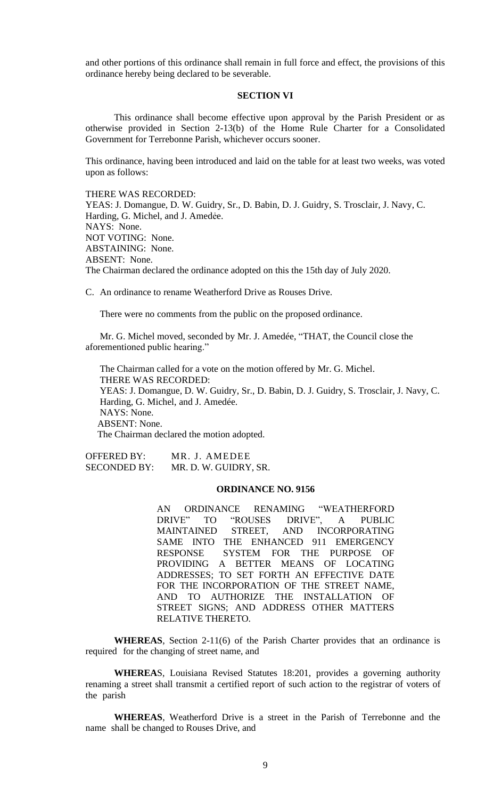and other portions of this ordinance shall remain in full force and effect, the provisions of this ordinance hereby being declared to be severable.

### **SECTION VI**

This ordinance shall become effective upon approval by the Parish President or as otherwise provided in Section 2-13(b) of the Home Rule Charter for a Consolidated Government for Terrebonne Parish, whichever occurs sooner.

This ordinance, having been introduced and laid on the table for at least two weeks, was voted upon as follows:

THERE WAS RECORDED:

YEAS: J. Domangue, D. W. Guidry, Sr., D. Babin, D. J. Guidry, S. Trosclair, J. Navy, C. Harding, G. Michel, and J. Amedée. NAYS: None. NOT VOTING: None. ABSTAINING: None. ABSENT: None. The Chairman declared the ordinance adopted on this the 15th day of July 2020.

C. [An ordinance to rename Weatherford Drive as Rouses Drive.](https://terrebonneparish.novusagenda.com/AgendaWeb/CoverSheet.aspx?ItemID=26327&MeetingID=2033)

There were no comments from the public on the proposed ordinance.

Mr. G. Michel moved, seconded by Mr. J. Amedée, "THAT, the Council close the aforementioned public hearing."

The Chairman called for a vote on the motion offered by Mr. G. Michel. THERE WAS RECORDED: YEAS: J. Domangue, D. W. Guidry, Sr., D. Babin, D. J. Guidry, S. Trosclair, J. Navy, C. Harding, G. Michel, and J. Amedée. NAYS: None. ABSENT: None. The Chairman declared the motion adopted.

OFFERED BY: MR. J. AMEDEE SECONDED BY: MR. D. W. GUIDRY, SR.

#### **ORDINANCE NO. 9156**

AN ORDINANCE RENAMING "WEATHERFORD DRIVE" TO "ROUSES DRIVE", A PUBLIC MAINTAINED STREET, AND SAME INTO THE ENHANCED 911 EMERGENCY RESPONSE SYSTEM FOR THE PURPOSE OF PROVIDING A BETTER MEANS OF LOCATING ADDRESSES; TO SET FORTH AN EFFECTIVE DATE FOR THE INCORPORATION OF THE STREET NAME, AND TO AUTHORIZE THE INSTALLATION OF STREET SIGNS; AND ADDRESS OTHER MATTERS RELATIVE THERETO.

**WHEREAS**, Section 2-11(6) of the Parish Charter provides that an ordinance is required for the changing of street name, and

**WHEREA**S, Louisiana Revised Statutes 18:201, provides a governing authority renaming a street shall transmit a certified report of such action to the registrar of voters of the parish

**WHEREAS**, Weatherford Drive is a street in the Parish of Terrebonne and the name shall be changed to Rouses Drive, and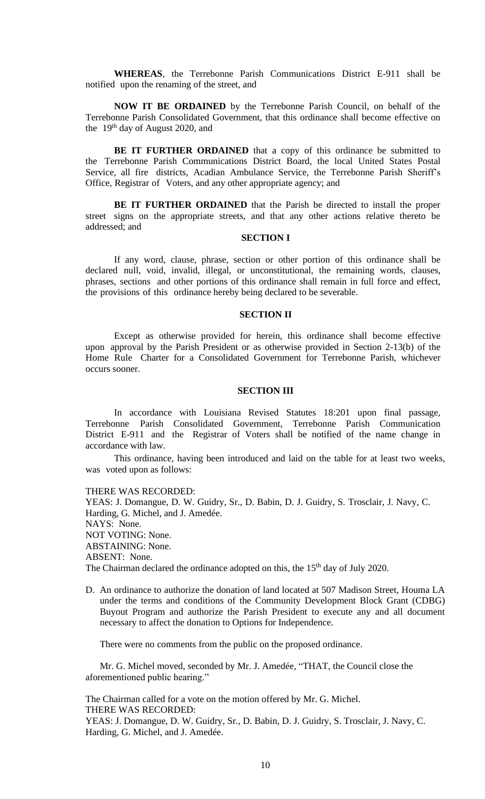**WHEREAS**, the Terrebonne Parish Communications District E-911 shall be notified upon the renaming of the street, and

**NOW IT BE ORDAINED** by the Terrebonne Parish Council, on behalf of the Terrebonne Parish Consolidated Government, that this ordinance shall become effective on the  $19<sup>th</sup>$  day of August 2020, and

**BE IT FURTHER ORDAINED** that a copy of this ordinance be submitted to the Terrebonne Parish Communications District Board, the local United States Postal Service, all fire districts, Acadian Ambulance Service, the Terrebonne Parish Sheriff's Office, Registrar of Voters, and any other appropriate agency; and

**BE IT FURTHER ORDAINED** that the Parish be directed to install the proper street signs on the appropriate streets, and that any other actions relative thereto be addressed; and

### **SECTION I**

If any word, clause, phrase, section or other portion of this ordinance shall be declared null, void, invalid, illegal, or unconstitutional, the remaining words, clauses, phrases, sections and other portions of this ordinance shall remain in full force and effect, the provisions of this ordinance hereby being declared to be severable.

### **SECTION II**

Except as otherwise provided for herein, this ordinance shall become effective upon approval by the Parish President or as otherwise provided in Section 2-13(b) of the Home Rule Charter for a Consolidated Government for Terrebonne Parish, whichever occurs sooner.

### **SECTION III**

In accordance with Louisiana Revised Statutes 18:201 upon final passage, Terrebonne Parish Consolidated Government, Terrebonne Parish Communication District E-911 and the Registrar of Voters shall be notified of the name change in accordance with law.

This ordinance, having been introduced and laid on the table for at least two weeks, was voted upon as follows:

THERE WAS RECORDED:

YEAS: J. Domangue, D. W. Guidry, Sr., D. Babin, D. J. Guidry, S. Trosclair, J. Navy, C. Harding, G. Michel, and J. Amedée. NAYS: None. NOT VOTING: None. ABSTAINING: None. ABSENT: None. The Chairman declared the ordinance adopted on this, the 15<sup>th</sup> day of July 2020.

D. An ordinance to authorize the donation of land located at 507 Madison Street, Houma LA under the terms and conditions of the Community Development Block Grant (CDBG) Buyout Program and authorize the Parish President to execute any and all document necessary to affect the donation to Options for Independence.

There were no comments from the public on the proposed ordinance.

Mr. G. Michel moved, seconded by Mr. J. Amedée, "THAT, the Council close the aforementioned public hearing."

The Chairman called for a vote on the motion offered by Mr. G. Michel. THERE WAS RECORDED: YEAS: J. Domangue, D. W. Guidry, Sr., D. Babin, D. J. Guidry, S. Trosclair, J. Navy, C. Harding, G. Michel, and J. Amedée.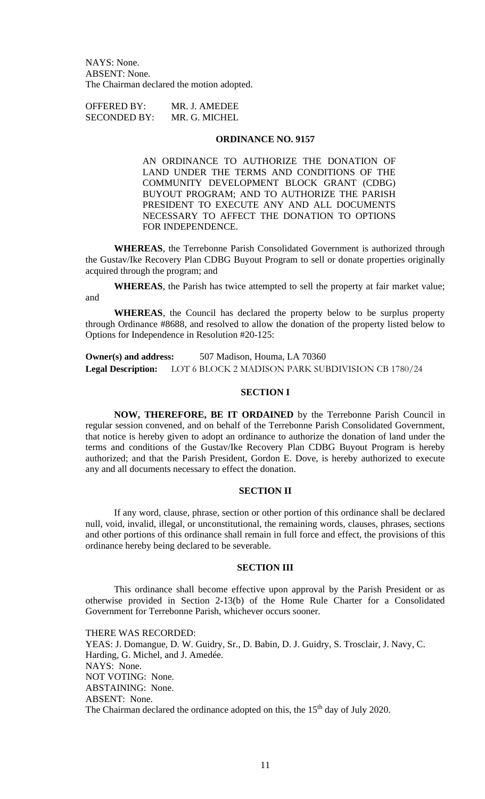NAYS: None. ABSENT: None. The Chairman declared the motion adopted.

OFFERED BY: MR. J. AMEDEE SECONDED BY: MR. G. MICHEL

### **ORDINANCE NO. 9157**

AN ORDINANCE TO AUTHORIZE THE DONATION OF LAND UNDER THE TERMS AND CONDITIONS OF THE COMMUNITY DEVELOPMENT BLOCK GRANT (CDBG) BUYOUT PROGRAM; AND TO AUTHORIZE THE PARISH PRESIDENT TO EXECUTE ANY AND ALL DOCUMENTS NECESSARY TO AFFECT THE DONATION TO OPTIONS FOR INDEPENDENCE.

**WHEREAS**, the Terrebonne Parish Consolidated Government is authorized through the Gustav/Ike Recovery Plan CDBG Buyout Program to sell or donate properties originally acquired through the program; and

**WHEREAS**, the Parish has twice attempted to sell the property at fair market value; and

**WHEREAS**, the Council has declared the property below to be surplus property through Ordinance #8688, and resolved to allow the donation of the property listed below to Options for Independence in Resolution #20-125:

**Owner(s) and address:** 507 Madison, Houma, LA 70360 **Legal Description:** LOT 6 BLOCK 2 MADISON PARK SUBDIVISION CB 1780/24

# **SECTION I**

**NOW, THEREFORE, BE IT ORDAINED** by the Terrebonne Parish Council in regular session convened, and on behalf of the Terrebonne Parish Consolidated Government, that notice is hereby given to adopt an ordinance to authorize the donation of land under the terms and conditions of the Gustav/Ike Recovery Plan CDBG Buyout Program is hereby authorized; and that the Parish President, Gordon E. Dove, is hereby authorized to execute any and all documents necessary to effect the donation.

# **SECTION II**

If any word, clause, phrase, section or other portion of this ordinance shall be declared null, void, invalid, illegal, or unconstitutional, the remaining words, clauses, phrases, sections and other portions of this ordinance shall remain in full force and effect, the provisions of this ordinance hereby being declared to be severable.

### **SECTION III**

This ordinance shall become effective upon approval by the Parish President or as otherwise provided in Section 2-13(b) of the Home Rule Charter for a Consolidated Government for Terrebonne Parish, whichever occurs sooner.

THERE WAS RECORDED: YEAS: J. Domangue, D. W. Guidry, Sr., D. Babin, D. J. Guidry, S. Trosclair, J. Navy, C. Harding, G. Michel, and J. Amedée. NAYS: None. NOT VOTING: None. ABSTAINING: None. ABSENT: None. The Chairman declared the ordinance adopted on this, the 15<sup>th</sup> day of July 2020.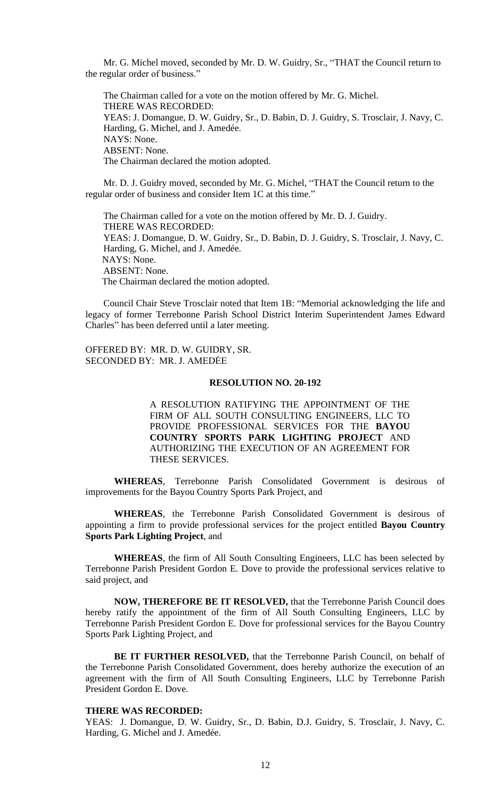Mr. G. Michel moved, seconded by Mr. D. W. Guidry, Sr., "THAT the Council return to the regular order of business."

The Chairman called for a vote on the motion offered by Mr. G. Michel. THERE WAS RECORDED: YEAS: J. Domangue, D. W. Guidry, Sr., D. Babin, D. J. Guidry, S. Trosclair, J. Navy, C. Harding, G. Michel, and J. Amedée. NAYS: None. ABSENT: None. The Chairman declared the motion adopted.

Mr. D. J. Guidry moved, seconded by Mr. G. Michel, "THAT the Council return to the regular order of business and consider Item 1C at this time."

The Chairman called for a vote on the motion offered by Mr. D. J. Guidry. THERE WAS RECORDED: YEAS: J. Domangue, D. W. Guidry, Sr., D. Babin, D. J. Guidry, S. Trosclair, J. Navy, C. Harding, G. Michel, and J. Amedée. NAYS: None. ABSENT: None. The Chairman declared the motion adopted.

Council Chair Steve Trosclair noted that Item 1B: "Memorial acknowledging the life and legacy of former Terrebonne Parish School District Interim Superintendent James Edward Charles" has been deferred until a later meeting.

OFFERED BY: MR. D. W. GUIDRY, SR. SECONDED BY: MR. J. AMEDĖE

# **RESOLUTION NO. 20-192**

A RESOLUTION RATIFYING THE APPOINTMENT OF THE FIRM OF ALL SOUTH CONSULTING ENGINEERS, LLC TO PROVIDE PROFESSIONAL SERVICES FOR THE **BAYOU COUNTRY SPORTS PARK LIGHTING PROJECT** AND AUTHORIZING THE EXECUTION OF AN AGREEMENT FOR THESE SERVICES.

**WHEREAS**, Terrebonne Parish Consolidated Government is desirous of improvements for the Bayou Country Sports Park Project, and

**WHEREAS**, the Terrebonne Parish Consolidated Government is desirous of appointing a firm to provide professional services for the project entitled **Bayou Country Sports Park Lighting Project**, and

**WHEREAS**, the firm of All South Consulting Engineers, LLC has been selected by Terrebonne Parish President Gordon E. Dove to provide the professional services relative to said project, and

**NOW, THEREFORE BE IT RESOLVED,** that the Terrebonne Parish Council does hereby ratify the appointment of the firm of All South Consulting Engineers, LLC by Terrebonne Parish President Gordon E. Dove for professional services for the Bayou Country Sports Park Lighting Project, and

**BE IT FURTHER RESOLVED,** that the Terrebonne Parish Council, on behalf of the Terrebonne Parish Consolidated Government, does hereby authorize the execution of an agreement with the firm of All South Consulting Engineers, LLC by Terrebonne Parish President Gordon E. Dove.

## **THERE WAS RECORDED:**

YEAS: J. Domangue, D. W. Guidry, Sr., D. Babin, D.J. Guidry, S. Trosclair, J. Navy, C. Harding, G. Michel and J. Amedée.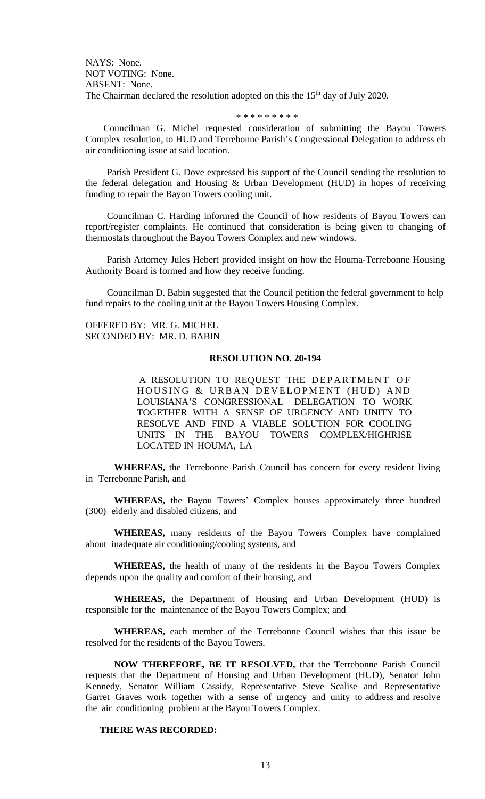NAYS: None. NOT VOTING: None. ABSENT: None. The Chairman declared the resolution adopted on this the  $15<sup>th</sup>$  day of July 2020.

#### \* \* \* \* \* \* \* \* \*

Councilman G. Michel requested consideration of submitting the Bayou Towers Complex resolution, to HUD and Terrebonne Parish's Congressional Delegation to address eh air conditioning issue at said location.

Parish President G. Dove expressed his support of the Council sending the resolution to the federal delegation and Housing & Urban Development (HUD) in hopes of receiving funding to repair the Bayou Towers cooling unit.

Councilman C. Harding informed the Council of how residents of Bayou Towers can report/register complaints. He continued that consideration is being given to changing of thermostats throughout the Bayou Towers Complex and new windows.

Parish Attorney Jules Hebert provided insight on how the Houma-Terrebonne Housing Authority Board is formed and how they receive funding.

Councilman D. Babin suggested that the Council petition the federal government to help fund repairs to the cooling unit at the Bayou Towers Housing Complex.

OFFERED BY: MR. G. MICHEL SECONDED BY: MR. D. BABIN

## **RESOLUTION NO. 20-194**

A RESOLUTION TO REQUEST THE DEPARTMENT OF HOUSING & URBAN DEVELOPMENT (HUD) AND LOUISIANA'S CONGRESSIONAL DELEGATION TO WORK TOGETHER WITH A SENSE OF URGENCY AND UNITY TO RESOLVE AND FIND A VIABLE SOLUTION FOR COOLING UNITS IN THE BAYOU TOWERS COMPLEX/HIGHRISE LOCATED IN HOUMA, LA

**WHEREAS,** the Terrebonne Parish Council has concern for every resident living in Terrebonne Parish, and

**WHEREAS,** the Bayou Towers' Complex houses approximately three hundred (300) elderly and disabled citizens, and

**WHEREAS,** many residents of the Bayou Towers Complex have complained about inadequate air conditioning/cooling systems, and

**WHEREAS,** the health of many of the residents in the Bayou Towers Complex depends upon the quality and comfort of their housing, and

**WHEREAS,** the Department of Housing and Urban Development (HUD) is responsible for the maintenance of the Bayou Towers Complex; and

**WHEREAS,** each member of the Terrebonne Council wishes that this issue be resolved for the residents of the Bayou Towers.

**NOW THEREFORE, BE IT RESOLVED,** that the Terrebonne Parish Council requests that the Department of Housing and Urban Development (HUD), Senator John Kennedy, Senator William Cassidy, Representative Steve Scalise and Representative Garret Graves work together with a sense of urgency and unity to address and resolve the air conditioning problem at the Bayou Towers Complex.

## **THERE WAS RECORDED:**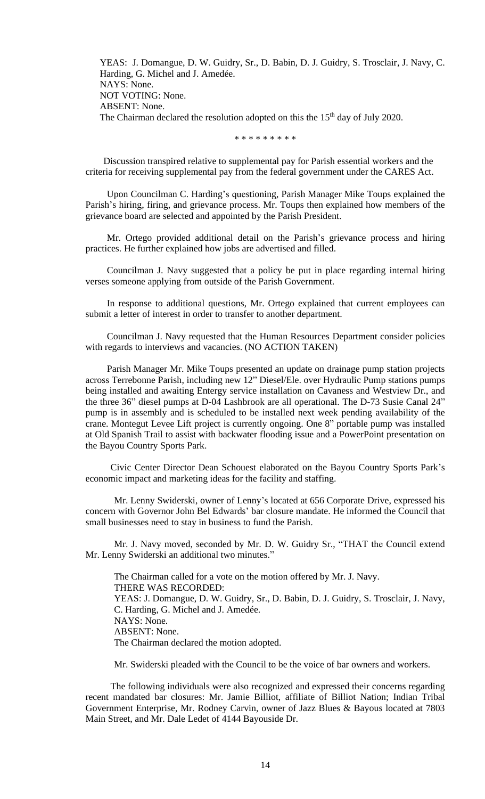YEAS: J. Domangue, D. W. Guidry, Sr., D. Babin, D. J. Guidry, S. Trosclair, J. Navy, C. Harding, G. Michel and J. Amedée. NAYS: None. NOT VOTING: None. ABSENT: None. The Chairman declared the resolution adopted on this the  $15<sup>th</sup>$  day of July 2020.

\* \* \* \* \* \* \* \* \*

Discussion transpired relative to supplemental pay for Parish essential workers and the criteria for receiving supplemental pay from the federal government under the CARES Act.

Upon Councilman C. Harding's questioning, Parish Manager Mike Toups explained the Parish's hiring, firing, and grievance process. Mr. Toups then explained how members of the grievance board are selected and appointed by the Parish President.

Mr. Ortego provided additional detail on the Parish's grievance process and hiring practices. He further explained how jobs are advertised and filled.

Councilman J. Navy suggested that a policy be put in place regarding internal hiring verses someone applying from outside of the Parish Government.

In response to additional questions, Mr. Ortego explained that current employees can submit a letter of interest in order to transfer to another department.

Councilman J. Navy requested that the Human Resources Department consider policies with regards to interviews and vacancies. (NO ACTION TAKEN)

Parish Manager Mr. Mike Toups presented an update on drainage pump station projects across Terrebonne Parish, including new 12" Diesel/Ele. over Hydraulic Pump stations pumps being installed and awaiting Entergy service installation on Cavaness and Westview Dr., and the three 36" diesel pumps at D-04 Lashbrook are all operational. The D-73 Susie Canal 24" pump is in assembly and is scheduled to be installed next week pending availability of the crane. Montegut Levee Lift project is currently ongoing. One 8" portable pump was installed at Old Spanish Trail to assist with backwater flooding issue and a PowerPoint presentation on the Bayou Country Sports Park.

Civic Center Director Dean Schouest elaborated on the Bayou Country Sports Park's economic impact and marketing ideas for the facility and staffing.

Mr. Lenny Swiderski, owner of Lenny's located at 656 Corporate Drive, expressed his concern with Governor John Bel Edwards' bar closure mandate. He informed the Council that small businesses need to stay in business to fund the Parish.

Mr. J. Navy moved, seconded by Mr. D. W. Guidry Sr., "THAT the Council extend Mr. Lenny Swiderski an additional two minutes."

The Chairman called for a vote on the motion offered by Mr. J. Navy. THERE WAS RECORDED: YEAS: J. Domangue, D. W. Guidry, Sr., D. Babin, D. J. Guidry, S. Trosclair, J. Navy, C. Harding, G. Michel and J. Amedée. NAYS: None. ABSENT: None. The Chairman declared the motion adopted.

Mr. Swiderski pleaded with the Council to be the voice of bar owners and workers.

The following individuals were also recognized and expressed their concerns regarding recent mandated bar closures: Mr. Jamie Billiot, affiliate of Billiot Nation; Indian Tribal Government Enterprise, Mr. Rodney Carvin, owner of Jazz Blues & Bayous located at 7803 Main Street, and Mr. Dale Ledet of 4144 Bayouside Dr.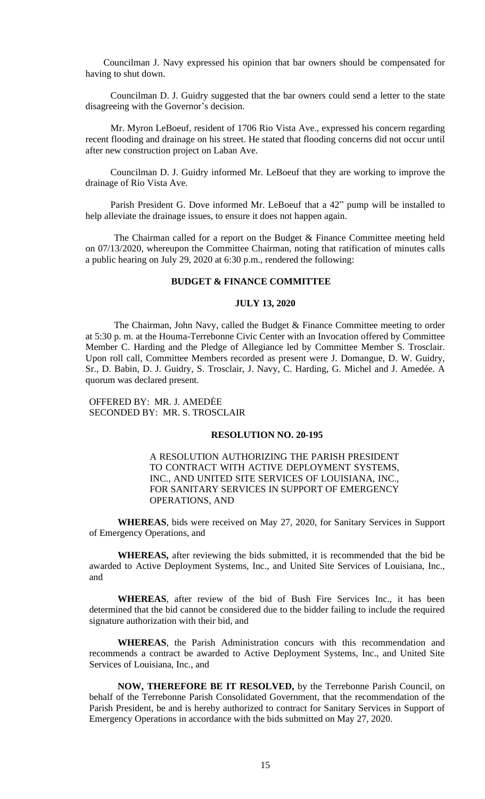Councilman J. Navy expressed his opinion that bar owners should be compensated for having to shut down.

Councilman D. J. Guidry suggested that the bar owners could send a letter to the state disagreeing with the Governor's decision.

Mr. Myron LeBoeuf, resident of 1706 Rio Vista Ave., expressed his concern regarding recent flooding and drainage on his street. He stated that flooding concerns did not occur until after new construction project on Laban Ave.

Councilman D. J. Guidry informed Mr. LeBoeuf that they are working to improve the drainage of Rio Vista Ave.

Parish President G. Dove informed Mr. LeBoeuf that a 42" pump will be installed to help alleviate the drainage issues, to ensure it does not happen again.

The Chairman called for a report on the Budget & Finance Committee meeting held on 07/13/2020, whereupon the Committee Chairman, noting that ratification of minutes calls a public hearing on July 29, 2020 at 6:30 p.m., rendered the following:

# **BUDGET & FINANCE COMMITTEE**

### **JULY 13, 2020**

The Chairman, John Navy, called the Budget & Finance Committee meeting to order at 5:30 p. m. at the Houma-Terrebonne Civic Center with an Invocation offered by Committee Member C. Harding and the Pledge of Allegiance led by Committee Member S. Trosclair. Upon roll call, Committee Members recorded as present were J. Domangue, D. W. Guidry, Sr., D. Babin, D. J. Guidry, S. Trosclair, J. Navy, C. Harding, G. Michel and J. Amedée. A quorum was declared present.

OFFERED BY: MR. J. AMEDĖE SECONDED BY: MR. S. TROSCLAIR

## **RESOLUTION NO. 20-195**

A RESOLUTION AUTHORIZING THE PARISH PRESIDENT TO CONTRACT WITH ACTIVE DEPLOYMENT SYSTEMS, INC., AND UNITED SITE SERVICES OF LOUISIANA, INC., FOR SANITARY SERVICES IN SUPPORT OF EMERGENCY OPERATIONS, AND

**WHEREAS**, bids were received on May 27, 2020, for Sanitary Services in Support of Emergency Operations, and

**WHEREAS,** after reviewing the bids submitted, it is recommended that the bid be awarded to Active Deployment Systems, Inc., and United Site Services of Louisiana, Inc., and

**WHEREAS**, after review of the bid of Bush Fire Services Inc., it has been determined that the bid cannot be considered due to the bidder failing to include the required signature authorization with their bid, and

**WHEREAS**, the Parish Administration concurs with this recommendation and recommends a contract be awarded to Active Deployment Systems, Inc., and United Site Services of Louisiana, Inc., and

**NOW, THEREFORE BE IT RESOLVED,** by the Terrebonne Parish Council, on behalf of the Terrebonne Parish Consolidated Government, that the recommendation of the Parish President, be and is hereby authorized to contract for Sanitary Services in Support of Emergency Operations in accordance with the bids submitted on May 27, 2020.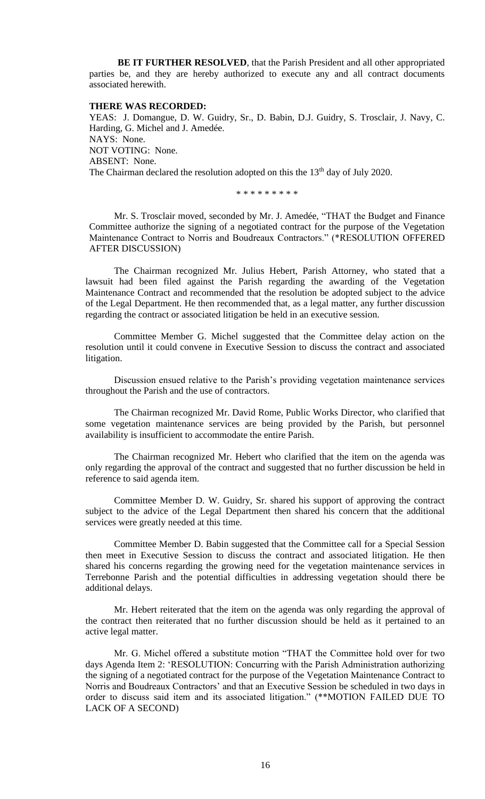**BE IT FURTHER RESOLVED**, that the Parish President and all other appropriated parties be, and they are hereby authorized to execute any and all contract documents associated herewith.

### **THERE WAS RECORDED:**

YEAS: J. Domangue, D. W. Guidry, Sr., D. Babin, D.J. Guidry, S. Trosclair, J. Navy, C. Harding, G. Michel and J. Amedée. NAYS: None. NOT VOTING: None. ABSENT: None. The Chairman declared the resolution adopted on this the 13<sup>th</sup> day of July 2020.

\* \* \* \* \* \* \* \* \*

Mr. S. Trosclair moved, seconded by Mr. J. Amedée, "THAT the Budget and Finance Committee authorize the signing of a negotiated contract for the purpose of the Vegetation Maintenance Contract to Norris and Boudreaux Contractors." (\*RESOLUTION OFFERED AFTER DISCUSSION)

The Chairman recognized Mr. Julius Hebert, Parish Attorney, who stated that a lawsuit had been filed against the Parish regarding the awarding of the Vegetation Maintenance Contract and recommended that the resolution be adopted subject to the advice of the Legal Department. He then recommended that, as a legal matter, any further discussion regarding the contract or associated litigation be held in an executive session.

Committee Member G. Michel suggested that the Committee delay action on the resolution until it could convene in Executive Session to discuss the contract and associated litigation.

Discussion ensued relative to the Parish's providing vegetation maintenance services throughout the Parish and the use of contractors.

The Chairman recognized Mr. David Rome, Public Works Director, who clarified that some vegetation maintenance services are being provided by the Parish, but personnel availability is insufficient to accommodate the entire Parish.

The Chairman recognized Mr. Hebert who clarified that the item on the agenda was only regarding the approval of the contract and suggested that no further discussion be held in reference to said agenda item.

Committee Member D. W. Guidry, Sr. shared his support of approving the contract subject to the advice of the Legal Department then shared his concern that the additional services were greatly needed at this time.

Committee Member D. Babin suggested that the Committee call for a Special Session then meet in Executive Session to discuss the contract and associated litigation. He then shared his concerns regarding the growing need for the vegetation maintenance services in Terrebonne Parish and the potential difficulties in addressing vegetation should there be additional delays.

Mr. Hebert reiterated that the item on the agenda was only regarding the approval of the contract then reiterated that no further discussion should be held as it pertained to an active legal matter.

Mr. G. Michel offered a substitute motion "THAT the Committee hold over for two days Agenda Item 2: 'RESOLUTION: Concurring with the Parish Administration authorizing the signing of a negotiated contract for the purpose of the Vegetation Maintenance Contract to Norris and Boudreaux Contractors' and that an Executive Session be scheduled in two days in order to discuss said item and its associated litigation." (\*\*MOTION FAILED DUE TO LACK OF A SECOND)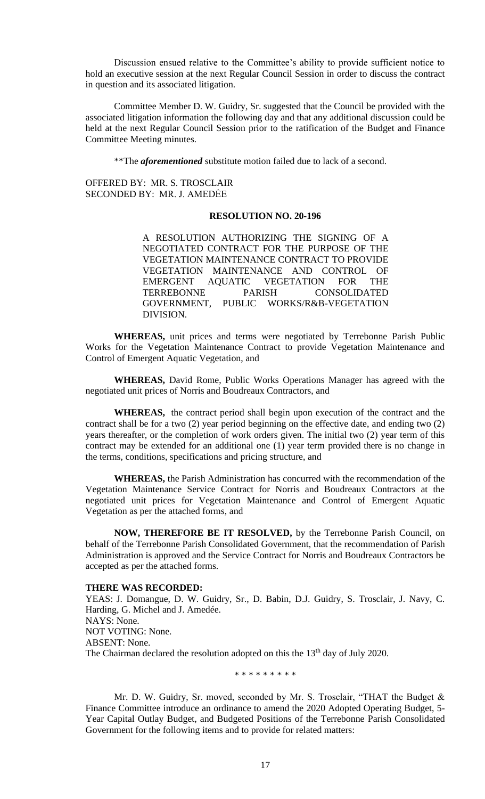Discussion ensued relative to the Committee's ability to provide sufficient notice to hold an executive session at the next Regular Council Session in order to discuss the contract in question and its associated litigation.

Committee Member D. W. Guidry, Sr. suggested that the Council be provided with the associated litigation information the following day and that any additional discussion could be held at the next Regular Council Session prior to the ratification of the Budget and Finance Committee Meeting minutes.

\*\*The *aforementioned* substitute motion failed due to lack of a second.

OFFERED BY: MR. S. TROSCLAIR SECONDED BY: MR. J. AMEDĖE

# **RESOLUTION NO. 20-196**

A RESOLUTION AUTHORIZING THE SIGNING OF A NEGOTIATED CONTRACT FOR THE PURPOSE OF THE VEGETATION MAINTENANCE CONTRACT TO PROVIDE VEGETATION MAINTENANCE AND CONTROL OF EMERGENT AQUATIC VEGETATION FOR THE TERREBONNE PARISH CONSOLIDATED GOVERNMENT, PUBLIC WORKS/R&B-VEGETATION DIVISION.

**WHEREAS,** unit prices and terms were negotiated by Terrebonne Parish Public Works for the Vegetation Maintenance Contract to provide Vegetation Maintenance and Control of Emergent Aquatic Vegetation, and

**WHEREAS,** David Rome, Public Works Operations Manager has agreed with the negotiated unit prices of Norris and Boudreaux Contractors, and

**WHEREAS,** the contract period shall begin upon execution of the contract and the contract shall be for a two (2) year period beginning on the effective date, and ending two (2) years thereafter, or the completion of work orders given. The initial two (2) year term of this contract may be extended for an additional one (1) year term provided there is no change in the terms, conditions, specifications and pricing structure, and

**WHEREAS,** the Parish Administration has concurred with the recommendation of the Vegetation Maintenance Service Contract for Norris and Boudreaux Contractors at the negotiated unit prices for Vegetation Maintenance and Control of Emergent Aquatic Vegetation as per the attached forms, and

**NOW, THEREFORE BE IT RESOLVED,** by the Terrebonne Parish Council, on behalf of the Terrebonne Parish Consolidated Government, that the recommendation of Parish Administration is approved and the Service Contract for Norris and Boudreaux Contractors be accepted as per the attached forms.

#### **THERE WAS RECORDED:**

YEAS: J. Domangue, D. W. Guidry, Sr., D. Babin, D.J. Guidry, S. Trosclair, J. Navy, C. Harding, G. Michel and J. Amedée. NAYS: None. NOT VOTING: None. ABSENT: None. The Chairman declared the resolution adopted on this the  $13<sup>th</sup>$  day of July 2020.

\* \* \* \* \* \* \* \* \*

Mr. D. W. Guidry, Sr. moved, seconded by Mr. S. Trosclair, "THAT the Budget & Finance Committee introduce an ordinance to amend the 2020 Adopted Operating Budget, 5- Year Capital Outlay Budget, and Budgeted Positions of the Terrebonne Parish Consolidated Government for the following items and to provide for related matters: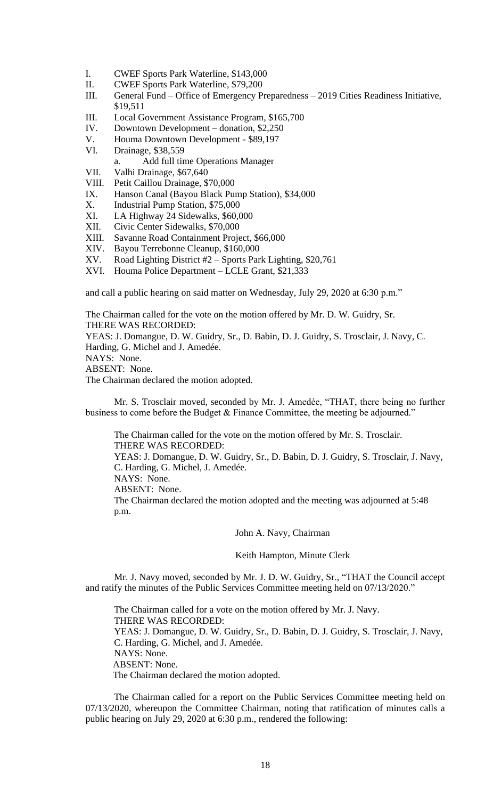- I. CWEF Sports Park Waterline, \$143,000
- II. CWEF Sports Park Waterline, \$79,200
- III. General Fund Office of Emergency Preparedness 2019 Cities Readiness Initiative, \$19,511
- III. Local Government Assistance Program, \$165,700
- IV. Downtown Development donation, \$2,250
- V. Houma Downtown Development \$89,197
- VI. Drainage, \$38,559
- a. Add full time Operations Manager
- VII. Valhi Drainage, \$67,640
- VIII. Petit Caillou Drainage, \$70,000
- IX. Hanson Canal (Bayou Black Pump Station), \$34,000
- X. Industrial Pump Station, \$75,000
- XI. LA Highway 24 Sidewalks, \$60,000
- XII. Civic Center Sidewalks, \$70,000
- XIII. Savanne Road Containment Project, \$66,000
- XIV. Bayou Terrebonne Cleanup, \$160,000
- XV. Road Lighting District #2 Sports Park Lighting, \$20,761
- XVI. Houma Police Department LCLE Grant, \$21,333

and call a public hearing on said matter on Wednesday, July 29, 2020 at 6:30 p.m."

The Chairman called for the vote on the motion offered by Mr. D. W. Guidry, Sr. THERE WAS RECORDED:

YEAS: J. Domangue, D. W. Guidry, Sr., D. Babin, D. J. Guidry, S. Trosclair, J. Navy, C. Harding, G. Michel and J. Amedée.

NAYS: None.

ABSENT: None.

The Chairman declared the motion adopted.

Mr. S. Trosclair moved, seconded by Mr. J. Amedée, "THAT, there being no further business to come before the Budget & Finance Committee, the meeting be adjourned."

The Chairman called for the vote on the motion offered by Mr. S. Trosclair. THERE WAS RECORDED: YEAS: J. Domangue, D. W. Guidry, Sr., D. Babin, D. J. Guidry, S. Trosclair, J. Navy, C. Harding, G. Michel, J. Amedée. NAYS: None. ABSENT: None. The Chairman declared the motion adopted and the meeting was adjourned at 5:48 p.m.

John A. Navy, Chairman

Keith Hampton, Minute Clerk

Mr. J. Navy moved, seconded by Mr. J. D. W. Guidry, Sr., "THAT the Council accept and ratify the minutes of the Public Services Committee meeting held on 07/13/2020."

The Chairman called for a vote on the motion offered by Mr. J. Navy. THERE WAS RECORDED: YEAS: J. Domangue, D. W. Guidry, Sr., D. Babin, D. J. Guidry, S. Trosclair, J. Navy, C. Harding, G. Michel, and J. Amedée. NAYS: None. ABSENT: None. The Chairman declared the motion adopted.

The Chairman called for a report on the Public Services Committee meeting held on 07/13/2020, whereupon the Committee Chairman, noting that ratification of minutes calls a public hearing on July 29, 2020 at 6:30 p.m., rendered the following: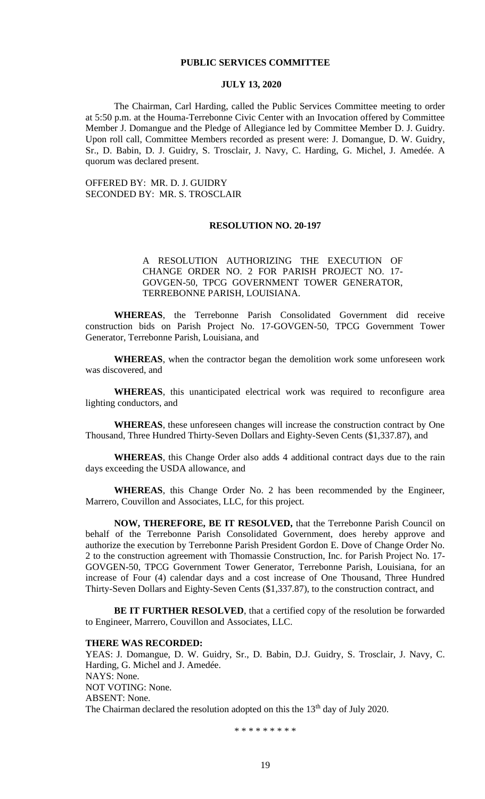### **PUBLIC SERVICES COMMITTEE**

### **JULY 13, 2020**

The Chairman, Carl Harding, called the Public Services Committee meeting to order at 5:50 p.m. at the Houma-Terrebonne Civic Center with an Invocation offered by Committee Member J. Domangue and the Pledge of Allegiance led by Committee Member D. J. Guidry. Upon roll call, Committee Members recorded as present were: J. Domangue, D. W. Guidry, Sr., D. Babin, D. J. Guidry, S. Trosclair, J. Navy, C. Harding, G. Michel, J. Amedée. A quorum was declared present.

OFFERED BY: MR. D. J. GUIDRY SECONDED BY: MR. S. TROSCLAIR

### **RESOLUTION NO. 20-197**

# A RESOLUTION AUTHORIZING THE EXECUTION OF CHANGE ORDER NO. 2 FOR PARISH PROJECT NO. 17- GOVGEN-50, TPCG GOVERNMENT TOWER GENERATOR, TERREBONNE PARISH, LOUISIANA.

**WHEREAS**, the Terrebonne Parish Consolidated Government did receive construction bids on Parish Project No. 17-GOVGEN-50, TPCG Government Tower Generator, Terrebonne Parish, Louisiana, and

**WHEREAS**, when the contractor began the demolition work some unforeseen work was discovered, and

**WHEREAS**, this unanticipated electrical work was required to reconfigure area lighting conductors, and

**WHEREAS**, these unforeseen changes will increase the construction contract by One Thousand, Three Hundred Thirty-Seven Dollars and Eighty-Seven Cents (\$1,337.87), and

**WHEREAS**, this Change Order also adds 4 additional contract days due to the rain days exceeding the USDA allowance, and

**WHEREAS**, this Change Order No. 2 has been recommended by the Engineer, Marrero, Couvillon and Associates, LLC, for this project.

**NOW, THEREFORE, BE IT RESOLVED,** that the Terrebonne Parish Council on behalf of the Terrebonne Parish Consolidated Government, does hereby approve and authorize the execution by Terrebonne Parish President Gordon E. Dove of Change Order No. 2 to the construction agreement with Thomassie Construction, Inc. for Parish Project No. 17- GOVGEN-50, TPCG Government Tower Generator, Terrebonne Parish, Louisiana, for an increase of Four (4) calendar days and a cost increase of One Thousand, Three Hundred Thirty-Seven Dollars and Eighty-Seven Cents (\$1,337.87), to the construction contract, and

BE IT FURTHER RESOLVED, that a certified copy of the resolution be forwarded to Engineer, Marrero, Couvillon and Associates, LLC.

#### **THERE WAS RECORDED:**

YEAS: J. Domangue, D. W. Guidry, Sr., D. Babin, D.J. Guidry, S. Trosclair, J. Navy, C. Harding, G. Michel and J. Amedée. NAYS: None. NOT VOTING: None. ABSENT: None. The Chairman declared the resolution adopted on this the  $13<sup>th</sup>$  day of July 2020.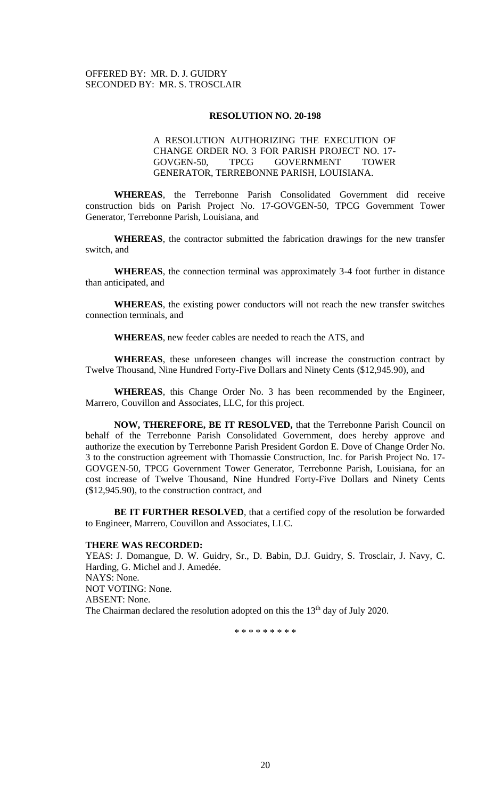# OFFERED BY: MR. D. J. GUIDRY SECONDED BY: MR. S. TROSCLAIR

### **RESOLUTION NO. 20-198**

# A RESOLUTION AUTHORIZING THE EXECUTION OF CHANGE ORDER NO. 3 FOR PARISH PROJECT NO. 17- GOVGEN-50, TPCG GOVERNMENT TOWER GENERATOR, TERREBONNE PARISH, LOUISIANA.

**WHEREAS**, the Terrebonne Parish Consolidated Government did receive construction bids on Parish Project No. 17-GOVGEN-50, TPCG Government Tower Generator, Terrebonne Parish, Louisiana, and

**WHEREAS**, the contractor submitted the fabrication drawings for the new transfer switch, and

**WHEREAS**, the connection terminal was approximately 3-4 foot further in distance than anticipated, and

**WHEREAS**, the existing power conductors will not reach the new transfer switches connection terminals, and

**WHEREAS**, new feeder cables are needed to reach the ATS, and

WHEREAS, these unforeseen changes will increase the construction contract by Twelve Thousand, Nine Hundred Forty-Five Dollars and Ninety Cents (\$12,945.90), and

**WHEREAS**, this Change Order No. 3 has been recommended by the Engineer, Marrero, Couvillon and Associates, LLC, for this project.

**NOW, THEREFORE, BE IT RESOLVED,** that the Terrebonne Parish Council on behalf of the Terrebonne Parish Consolidated Government, does hereby approve and authorize the execution by Terrebonne Parish President Gordon E. Dove of Change Order No. 3 to the construction agreement with Thomassie Construction, Inc. for Parish Project No. 17- GOVGEN-50, TPCG Government Tower Generator, Terrebonne Parish, Louisiana, for an cost increase of Twelve Thousand, Nine Hundred Forty-Five Dollars and Ninety Cents (\$12,945.90), to the construction contract, and

BE IT FURTHER RESOLVED, that a certified copy of the resolution be forwarded to Engineer, Marrero, Couvillon and Associates, LLC.

## **THERE WAS RECORDED:**

YEAS: J. Domangue, D. W. Guidry, Sr., D. Babin, D.J. Guidry, S. Trosclair, J. Navy, C. Harding, G. Michel and J. Amedée. NAYS: None. NOT VOTING: None. ABSENT: None. The Chairman declared the resolution adopted on this the 13<sup>th</sup> day of July 2020.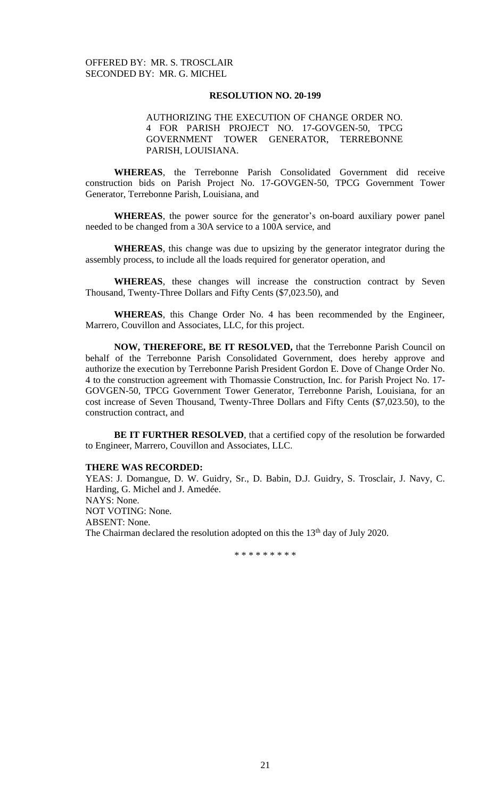AUTHORIZING THE EXECUTION OF CHANGE ORDER NO. 4 FOR PARISH PROJECT NO. 17-GOVGEN-50, TPCG GOVERNMENT TOWER GENERATOR, TERREBONNE PARISH, LOUISIANA.

**WHEREAS**, the Terrebonne Parish Consolidated Government did receive construction bids on Parish Project No. 17-GOVGEN-50, TPCG Government Tower Generator, Terrebonne Parish, Louisiana, and

**WHEREAS**, the power source for the generator's on-board auxiliary power panel needed to be changed from a 30A service to a 100A service, and

**WHEREAS**, this change was due to upsizing by the generator integrator during the assembly process, to include all the loads required for generator operation, and

WHEREAS, these changes will increase the construction contract by Seven Thousand, Twenty-Three Dollars and Fifty Cents (\$7,023.50), and

**WHEREAS**, this Change Order No. 4 has been recommended by the Engineer, Marrero, Couvillon and Associates, LLC, for this project.

**NOW, THEREFORE, BE IT RESOLVED,** that the Terrebonne Parish Council on behalf of the Terrebonne Parish Consolidated Government, does hereby approve and authorize the execution by Terrebonne Parish President Gordon E. Dove of Change Order No. 4 to the construction agreement with Thomassie Construction, Inc. for Parish Project No. 17- GOVGEN-50, TPCG Government Tower Generator, Terrebonne Parish, Louisiana, for an cost increase of Seven Thousand, Twenty-Three Dollars and Fifty Cents (\$7,023.50), to the construction contract, and

BE IT FURTHER RESOLVED, that a certified copy of the resolution be forwarded to Engineer, Marrero, Couvillon and Associates, LLC.

## **THERE WAS RECORDED:**

YEAS: J. Domangue, D. W. Guidry, Sr., D. Babin, D.J. Guidry, S. Trosclair, J. Navy, C. Harding, G. Michel and J. Amedée. NAYS: None. NOT VOTING: None. ABSENT: None. The Chairman declared the resolution adopted on this the  $13<sup>th</sup>$  day of July 2020.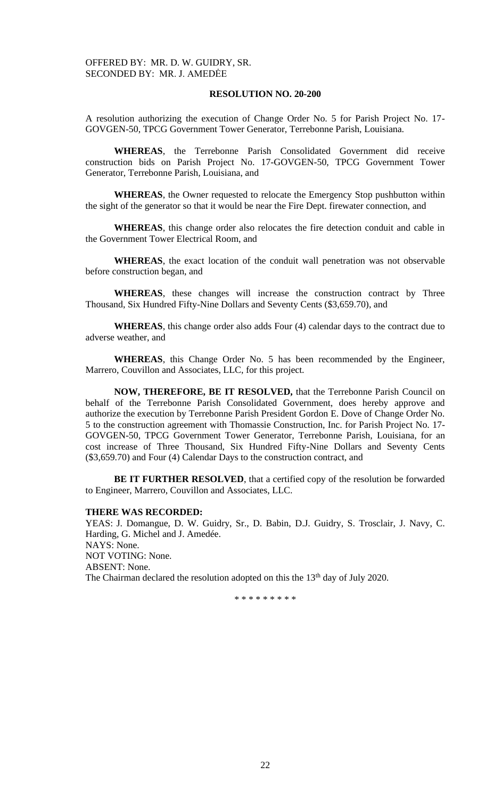A resolution authorizing the execution of Change Order No. 5 for Parish Project No. 17- GOVGEN-50, TPCG Government Tower Generator, Terrebonne Parish, Louisiana.

**WHEREAS**, the Terrebonne Parish Consolidated Government did receive construction bids on Parish Project No. 17-GOVGEN-50, TPCG Government Tower Generator, Terrebonne Parish, Louisiana, and

**WHEREAS**, the Owner requested to relocate the Emergency Stop pushbutton within the sight of the generator so that it would be near the Fire Dept. firewater connection, and

**WHEREAS**, this change order also relocates the fire detection conduit and cable in the Government Tower Electrical Room, and

**WHEREAS**, the exact location of the conduit wall penetration was not observable before construction began, and

WHEREAS, these changes will increase the construction contract by Three Thousand, Six Hundred Fifty-Nine Dollars and Seventy Cents (\$3,659.70), and

**WHEREAS**, this change order also adds Four (4) calendar days to the contract due to adverse weather, and

**WHEREAS**, this Change Order No. 5 has been recommended by the Engineer, Marrero, Couvillon and Associates, LLC, for this project.

**NOW, THEREFORE, BE IT RESOLVED,** that the Terrebonne Parish Council on behalf of the Terrebonne Parish Consolidated Government, does hereby approve and authorize the execution by Terrebonne Parish President Gordon E. Dove of Change Order No. 5 to the construction agreement with Thomassie Construction, Inc. for Parish Project No. 17- GOVGEN-50, TPCG Government Tower Generator, Terrebonne Parish, Louisiana, for an cost increase of Three Thousand, Six Hundred Fifty-Nine Dollars and Seventy Cents (\$3,659.70) and Four (4) Calendar Days to the construction contract, and

**BE IT FURTHER RESOLVED**, that a certified copy of the resolution be forwarded to Engineer, Marrero, Couvillon and Associates, LLC.

### **THERE WAS RECORDED:**

YEAS: J. Domangue, D. W. Guidry, Sr., D. Babin, D.J. Guidry, S. Trosclair, J. Navy, C. Harding, G. Michel and J. Amedée. NAYS: None. NOT VOTING: None. ABSENT: None. The Chairman declared the resolution adopted on this the 13<sup>th</sup> day of July 2020.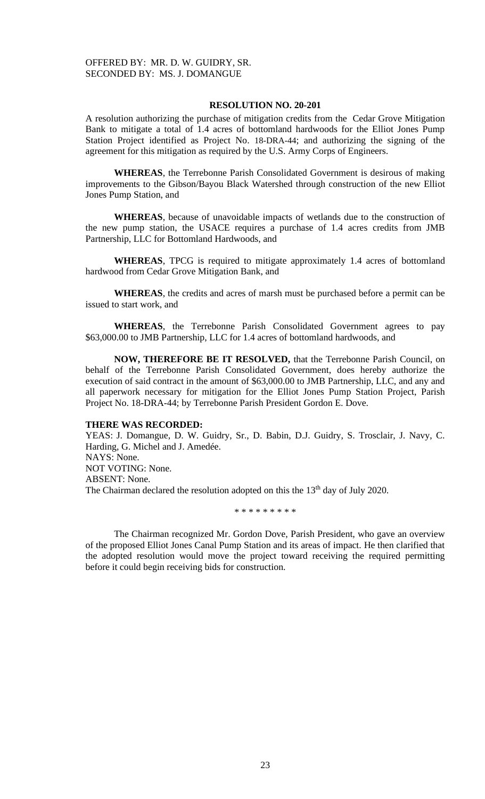A resolution authorizing the purchase of mitigation credits from the Cedar Grove Mitigation Bank to mitigate a total of 1.4 acres of bottomland hardwoods for the Elliot Jones Pump Station Project identified as Project No. 18-DRA-44; and authorizing the signing of the agreement for this mitigation as required by the U.S. Army Corps of Engineers.

**WHEREAS**, the Terrebonne Parish Consolidated Government is desirous of making improvements to the Gibson/Bayou Black Watershed through construction of the new Elliot Jones Pump Station, and

**WHEREAS**, because of unavoidable impacts of wetlands due to the construction of the new pump station, the USACE requires a purchase of 1.4 acres credits from JMB Partnership, LLC for Bottomland Hardwoods, and

**WHEREAS**, TPCG is required to mitigate approximately 1.4 acres of bottomland hardwood from Cedar Grove Mitigation Bank, and

**WHEREAS**, the credits and acres of marsh must be purchased before a permit can be issued to start work, and

**WHEREAS**, the Terrebonne Parish Consolidated Government agrees to pay \$63,000.00 to JMB Partnership, LLC for 1.4 acres of bottomland hardwoods, and

**NOW, THEREFORE BE IT RESOLVED,** that the Terrebonne Parish Council, on behalf of the Terrebonne Parish Consolidated Government, does hereby authorize the execution of said contract in the amount of \$63,000.00 to JMB Partnership, LLC, and any and all paperwork necessary for mitigation for the Elliot Jones Pump Station Project, Parish Project No. 18-DRA-44; by Terrebonne Parish President Gordon E. Dove.

#### **THERE WAS RECORDED:**

YEAS: J. Domangue, D. W. Guidry, Sr., D. Babin, D.J. Guidry, S. Trosclair, J. Navy, C. Harding, G. Michel and J. Amedée. NAYS: None. NOT VOTING: None. ABSENT: None. The Chairman declared the resolution adopted on this the  $13<sup>th</sup>$  day of July 2020.

\* \* \* \* \* \* \* \* \*

The Chairman recognized Mr. Gordon Dove, Parish President, who gave an overview of the proposed Elliot Jones Canal Pump Station and its areas of impact. He then clarified that the adopted resolution would move the project toward receiving the required permitting before it could begin receiving bids for construction.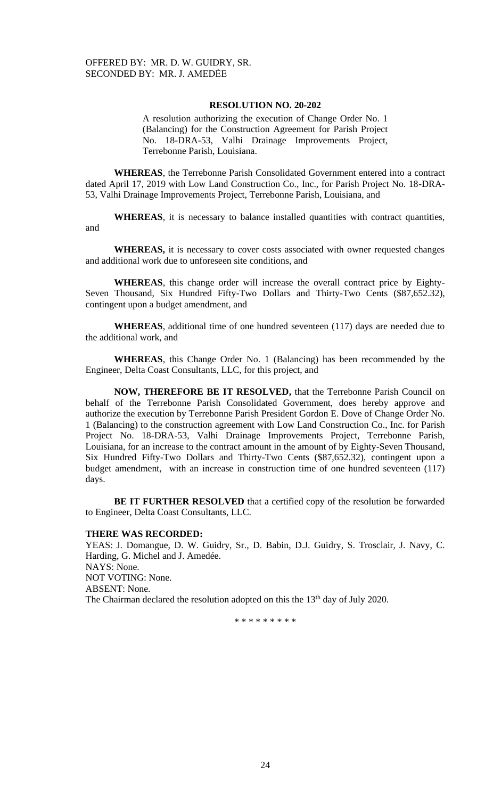A resolution authorizing the execution of Change Order No. 1 (Balancing) for the Construction Agreement for Parish Project No. 18-DRA-53, Valhi Drainage Improvements Project, Terrebonne Parish, Louisiana.

**WHEREAS**, the Terrebonne Parish Consolidated Government entered into a contract dated April 17, 2019 with Low Land Construction Co., Inc., for Parish Project No. 18-DRA-53, Valhi Drainage Improvements Project, Terrebonne Parish, Louisiana, and

**WHEREAS**, it is necessary to balance installed quantities with contract quantities, and

**WHEREAS,** it is necessary to cover costs associated with owner requested changes and additional work due to unforeseen site conditions, and

**WHEREAS**, this change order will increase the overall contract price by Eighty-Seven Thousand, Six Hundred Fifty-Two Dollars and Thirty-Two Cents (\$87,652.32), contingent upon a budget amendment, and

**WHEREAS**, additional time of one hundred seventeen (117) days are needed due to the additional work, and

**WHEREAS**, this Change Order No. 1 (Balancing) has been recommended by the Engineer, Delta Coast Consultants, LLC, for this project, and

**NOW, THEREFORE BE IT RESOLVED,** that the Terrebonne Parish Council on behalf of the Terrebonne Parish Consolidated Government, does hereby approve and authorize the execution by Terrebonne Parish President Gordon E. Dove of Change Order No. 1 (Balancing) to the construction agreement with Low Land Construction Co., Inc. for Parish Project No. 18-DRA-53, Valhi Drainage Improvements Project, Terrebonne Parish, Louisiana, for an increase to the contract amount in the amount of by Eighty-Seven Thousand, Six Hundred Fifty-Two Dollars and Thirty-Two Cents (\$87,652.32), contingent upon a budget amendment, with an increase in construction time of one hundred seventeen (117) days.

**BE IT FURTHER RESOLVED** that a certified copy of the resolution be forwarded to Engineer, Delta Coast Consultants, LLC.

## **THERE WAS RECORDED:**

YEAS: J. Domangue, D. W. Guidry, Sr., D. Babin, D.J. Guidry, S. Trosclair, J. Navy, C. Harding, G. Michel and J. Amedée. NAYS: None. NOT VOTING: None. ABSENT: None. The Chairman declared the resolution adopted on this the 13<sup>th</sup> day of July 2020.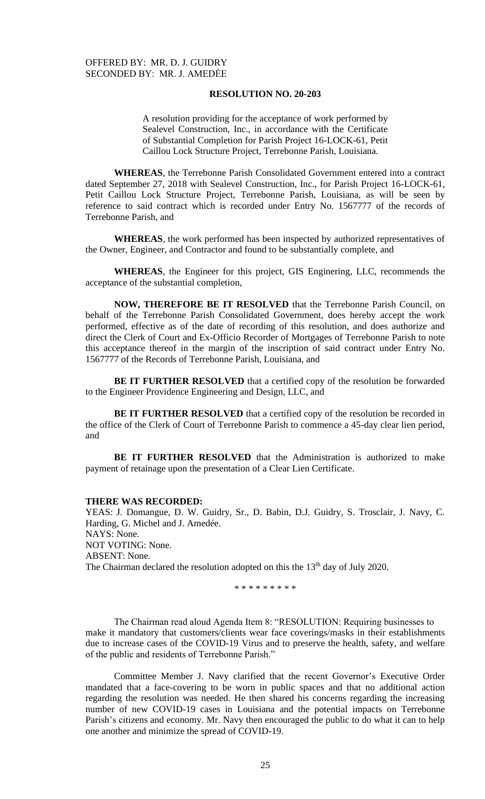A resolution providing for the acceptance of work performed by Sealevel Construction, Inc., in accordance with the Certificate of Substantial Completion for Parish Project 16-LOCK-61, Petit Caillou Lock Structure Project, Terrebonne Parish, Louisiana.

**WHEREAS**, the Terrebonne Parish Consolidated Government entered into a contract dated September 27, 2018 with Sealevel Construction, Inc., for Parish Project 16-LOCK-61, Petit Caillou Lock Structure Project, Terrebonne Parish, Louisiana, as will be seen by reference to said contract which is recorded under Entry No. 1567777 of the records of Terrebonne Parish, and

**WHEREAS**, the work performed has been inspected by authorized representatives of the Owner, Engineer, and Contractor and found to be substantially complete, and

**WHEREAS**, the Engineer for this project, GIS Enginering, LLC, recommends the acceptance of the substantial completion,

**NOW, THEREFORE BE IT RESOLVED** that the Terrebonne Parish Council, on behalf of the Terrebonne Parish Consolidated Government, does hereby accept the work performed, effective as of the date of recording of this resolution, and does authorize and direct the Clerk of Court and Ex-Officio Recorder of Mortgages of Terrebonne Parish to note this acceptance thereof in the margin of the inscription of said contract under Entry No. 1567777 of the Records of Terrebonne Parish, Louisiana, and

**BE IT FURTHER RESOLVED** that a certified copy of the resolution be forwarded to the Engineer Providence Engineering and Design, LLC, and

**BE IT FURTHER RESOLVED** that a certified copy of the resolution be recorded in the office of the Clerk of Court of Terrebonne Parish to commence a 45-day clear lien period, and

**BE IT FURTHER RESOLVED** that the Administration is authorized to make payment of retainage upon the presentation of a Clear Lien Certificate.

### **THERE WAS RECORDED:**

YEAS: J. Domangue, D. W. Guidry, Sr., D. Babin, D.J. Guidry, S. Trosclair, J. Navy, C. Harding, G. Michel and J. Amedée. NAYS: None. NOT VOTING: None. ABSENT: None. The Chairman declared the resolution adopted on this the  $13<sup>th</sup>$  day of July 2020.

\* \* \* \* \* \* \* \* \*

The Chairman read aloud Agenda Item 8: "RESOLUTION: Requiring businesses to make it mandatory that customers/clients wear face coverings/masks in their establishments due to increase cases of the COVID-19 Virus and to preserve the health, safety, and welfare of the public and residents of Terrebonne Parish."

Committee Member J. Navy clarified that the recent Governor's Executive Order mandated that a face-covering to be worn in public spaces and that no additional action regarding the resolution was needed. He then shared his concerns regarding the increasing number of new COVID-19 cases in Louisiana and the potential impacts on Terrebonne Parish's citizens and economy. Mr. Navy then encouraged the public to do what it can to help one another and minimize the spread of COVID-19.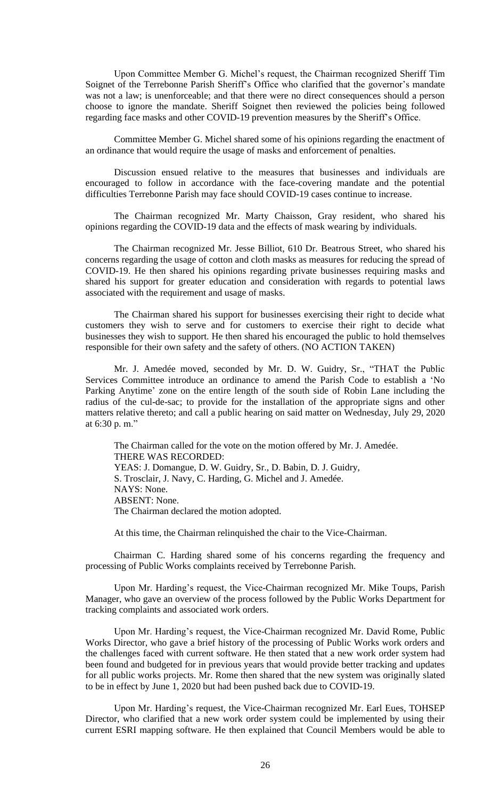Upon Committee Member G. Michel's request, the Chairman recognized Sheriff Tim Soignet of the Terrebonne Parish Sheriff's Office who clarified that the governor's mandate was not a law; is unenforceable; and that there were no direct consequences should a person choose to ignore the mandate. Sheriff Soignet then reviewed the policies being followed regarding face masks and other COVID-19 prevention measures by the Sheriff's Office.

Committee Member G. Michel shared some of his opinions regarding the enactment of an ordinance that would require the usage of masks and enforcement of penalties.

Discussion ensued relative to the measures that businesses and individuals are encouraged to follow in accordance with the face-covering mandate and the potential difficulties Terrebonne Parish may face should COVID-19 cases continue to increase.

The Chairman recognized Mr. Marty Chaisson, Gray resident, who shared his opinions regarding the COVID-19 data and the effects of mask wearing by individuals.

The Chairman recognized Mr. Jesse Billiot, 610 Dr. Beatrous Street, who shared his concerns regarding the usage of cotton and cloth masks as measures for reducing the spread of COVID-19. He then shared his opinions regarding private businesses requiring masks and shared his support for greater education and consideration with regards to potential laws associated with the requirement and usage of masks.

The Chairman shared his support for businesses exercising their right to decide what customers they wish to serve and for customers to exercise their right to decide what businesses they wish to support. He then shared his encouraged the public to hold themselves responsible for their own safety and the safety of others. (NO ACTION TAKEN)

Mr. J. Amedée moved, seconded by Mr. D. W. Guidry, Sr., "THAT the Public Services Committee introduce an ordinance to amend the Parish Code to establish a 'No Parking Anytime' zone on the entire length of the south side of Robin Lane including the radius of the cul-de-sac; to provide for the installation of the appropriate signs and other matters relative thereto; and call a public hearing on said matter on Wednesday, July 29, 2020 at 6:30 p. m."

The Chairman called for the vote on the motion offered by Mr. J. Amedée. THERE WAS RECORDED: YEAS: J. Domangue, D. W. Guidry, Sr., D. Babin, D. J. Guidry, S. Trosclair, J. Navy, C. Harding, G. Michel and J. Amedée. NAYS: None. ABSENT: None. The Chairman declared the motion adopted.

At this time, the Chairman relinquished the chair to the Vice-Chairman.

Chairman C. Harding shared some of his concerns regarding the frequency and processing of Public Works complaints received by Terrebonne Parish.

Upon Mr. Harding's request, the Vice-Chairman recognized Mr. Mike Toups, Parish Manager, who gave an overview of the process followed by the Public Works Department for tracking complaints and associated work orders.

Upon Mr. Harding's request, the Vice-Chairman recognized Mr. David Rome, Public Works Director, who gave a brief history of the processing of Public Works work orders and the challenges faced with current software. He then stated that a new work order system had been found and budgeted for in previous years that would provide better tracking and updates for all public works projects. Mr. Rome then shared that the new system was originally slated to be in effect by June 1, 2020 but had been pushed back due to COVID-19.

Upon Mr. Harding's request, the Vice-Chairman recognized Mr. Earl Eues, TOHSEP Director, who clarified that a new work order system could be implemented by using their current ESRI mapping software. He then explained that Council Members would be able to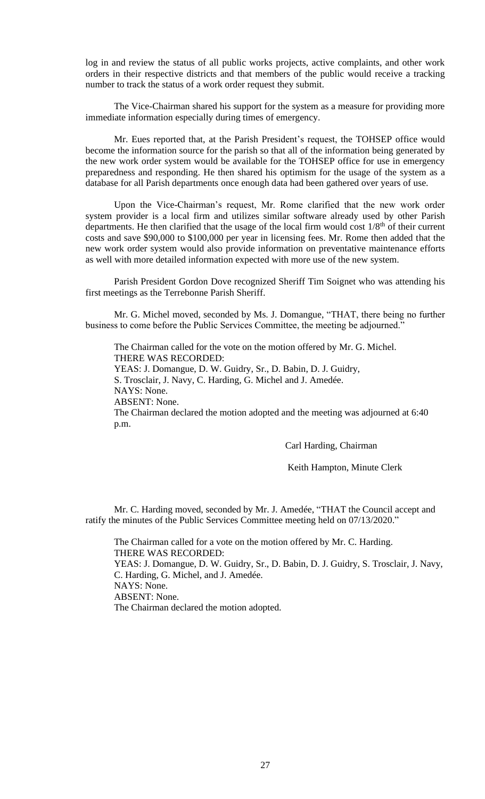log in and review the status of all public works projects, active complaints, and other work orders in their respective districts and that members of the public would receive a tracking number to track the status of a work order request they submit.

The Vice-Chairman shared his support for the system as a measure for providing more immediate information especially during times of emergency.

Mr. Eues reported that, at the Parish President's request, the TOHSEP office would become the information source for the parish so that all of the information being generated by the new work order system would be available for the TOHSEP office for use in emergency preparedness and responding. He then shared his optimism for the usage of the system as a database for all Parish departments once enough data had been gathered over years of use.

Upon the Vice-Chairman's request, Mr. Rome clarified that the new work order system provider is a local firm and utilizes similar software already used by other Parish departments. He then clarified that the usage of the local firm would cost  $1/8<sup>th</sup>$  of their current costs and save \$90,000 to \$100,000 per year in licensing fees. Mr. Rome then added that the new work order system would also provide information on preventative maintenance efforts as well with more detailed information expected with more use of the new system.

Parish President Gordon Dove recognized Sheriff Tim Soignet who was attending his first meetings as the Terrebonne Parish Sheriff.

Mr. G. Michel moved, seconded by Ms. J. Domangue, "THAT, there being no further business to come before the Public Services Committee, the meeting be adjourned."

The Chairman called for the vote on the motion offered by Mr. G. Michel. THERE WAS RECORDED: YEAS: J. Domangue, D. W. Guidry, Sr., D. Babin, D. J. Guidry, S. Trosclair, J. Navy, C. Harding, G. Michel and J. Amedée. NAYS: None. ABSENT: None. The Chairman declared the motion adopted and the meeting was adjourned at 6:40 p.m.

Carl Harding, Chairman

Keith Hampton, Minute Clerk

Mr. C. Harding moved, seconded by Mr. J. Amedée, "THAT the Council accept and ratify the minutes of the Public Services Committee meeting held on 07/13/2020."

The Chairman called for a vote on the motion offered by Mr. C. Harding. THERE WAS RECORDED: YEAS: J. Domangue, D. W. Guidry, Sr., D. Babin, D. J. Guidry, S. Trosclair, J. Navy, C. Harding, G. Michel, and J. Amedée. NAYS: None. ABSENT: None. The Chairman declared the motion adopted.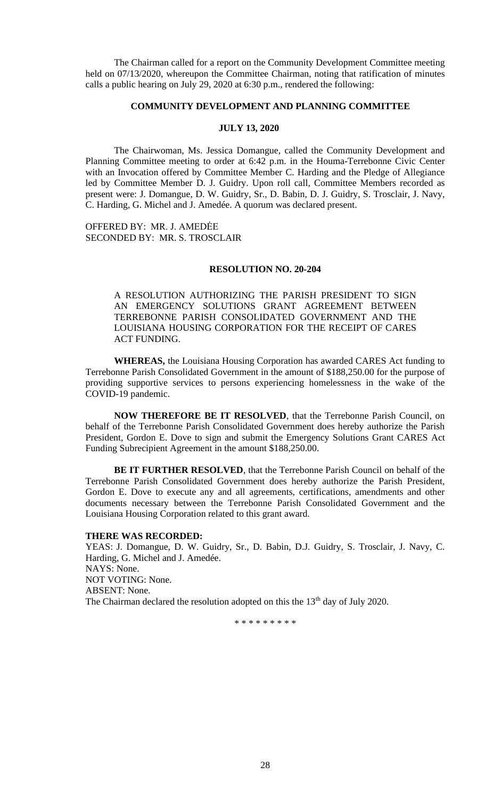The Chairman called for a report on the Community Development Committee meeting held on 07/13/2020, whereupon the Committee Chairman, noting that ratification of minutes calls a public hearing on July 29, 2020 at 6:30 p.m., rendered the following:

# **COMMUNITY DEVELOPMENT AND PLANNING COMMITTEE**

## **JULY 13, 2020**

The Chairwoman, Ms. Jessica Domangue, called the Community Development and Planning Committee meeting to order at 6:42 p.m. in the Houma-Terrebonne Civic Center with an Invocation offered by Committee Member C. Harding and the Pledge of Allegiance led by Committee Member D. J. Guidry. Upon roll call, Committee Members recorded as present were: J. Domangue, D. W. Guidry, Sr., D. Babin, D. J. Guidry, S. Trosclair, J. Navy, C. Harding, G. Michel and J. Amedée. A quorum was declared present.

OFFERED BY: MR. J. AMEDĖE SECONDED BY: MR. S. TROSCLAIR

### **RESOLUTION NO. 20-204**

A RESOLUTION AUTHORIZING THE PARISH PRESIDENT TO SIGN AN EMERGENCY SOLUTIONS GRANT AGREEMENT BETWEEN TERREBONNE PARISH CONSOLIDATED GOVERNMENT AND THE LOUISIANA HOUSING CORPORATION FOR THE RECEIPT OF CARES ACT FUNDING.

**WHEREAS,** the Louisiana Housing Corporation has awarded CARES Act funding to Terrebonne Parish Consolidated Government in the amount of \$188,250.00 for the purpose of providing supportive services to persons experiencing homelessness in the wake of the COVID-19 pandemic.

**NOW THEREFORE BE IT RESOLVED**, that the Terrebonne Parish Council, on behalf of the Terrebonne Parish Consolidated Government does hereby authorize the Parish President, Gordon E. Dove to sign and submit the Emergency Solutions Grant CARES Act Funding Subrecipient Agreement in the amount \$188,250.00.

**BE IT FURTHER RESOLVED**, that the Terrebonne Parish Council on behalf of the Terrebonne Parish Consolidated Government does hereby authorize the Parish President, Gordon E. Dove to execute any and all agreements, certifications, amendments and other documents necessary between the Terrebonne Parish Consolidated Government and the Louisiana Housing Corporation related to this grant award.

#### **THERE WAS RECORDED:**

YEAS: J. Domangue, D. W. Guidry, Sr., D. Babin, D.J. Guidry, S. Trosclair, J. Navy, C. Harding, G. Michel and J. Amedée. NAYS: None. NOT VOTING: None. ABSENT: None. The Chairman declared the resolution adopted on this the  $13<sup>th</sup>$  day of July 2020.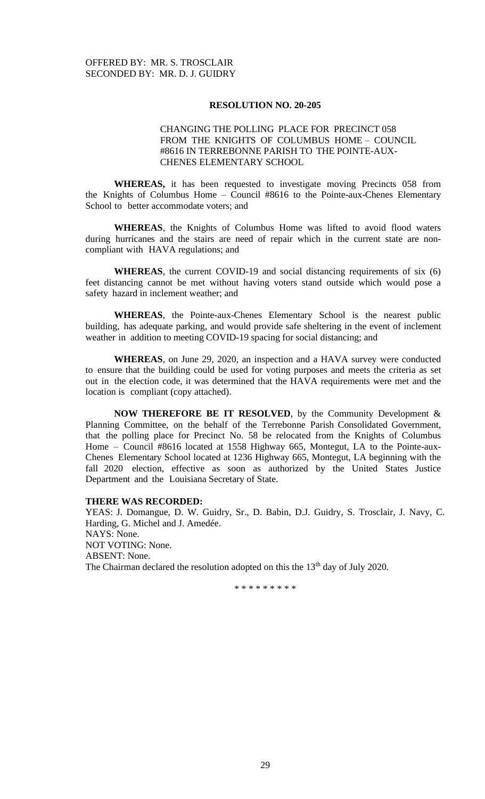# CHANGING THE POLLING PLACE FOR PRECINCT 058 FROM THE KNIGHTS OF COLUMBUS HOME – COUNCIL #8616 IN TERREBONNE PARISH TO THE POINTE-AUX-CHENES ELEMENTARY SCHOOL

**WHEREAS,** it has been requested to investigate moving Precincts 058 from the Knights of Columbus Home – Council #8616 to the Pointe-aux-Chenes Elementary School to better accommodate voters; and

**WHEREAS**, the Knights of Columbus Home was lifted to avoid flood waters during hurricanes and the stairs are need of repair which in the current state are noncompliant with HAVA regulations; and

**WHEREAS**, the current COVID-19 and social distancing requirements of six (6) feet distancing cannot be met without having voters stand outside which would pose a safety hazard in inclement weather; and

**WHEREAS**, the Pointe-aux-Chenes Elementary School is the nearest public building, has adequate parking, and would provide safe sheltering in the event of inclement weather in addition to meeting COVID-19 spacing for social distancing; and

**WHEREAS**, on June 29, 2020, an inspection and a HAVA survey were conducted to ensure that the building could be used for voting purposes and meets the criteria as set out in the election code, it was determined that the HAVA requirements were met and the location is compliant (copy attached).

**NOW THEREFORE BE IT RESOLVED**, by the Community Development & Planning Committee, on the behalf of the Terrebonne Parish Consolidated Government, that the polling place for Precinct No. 58 be relocated from the Knights of Columbus Home – Council #8616 located at 1558 Highway 665, Montegut, LA to the Pointe-aux-Chenes Elementary School located at 1236 Highway 665, Montegut, LA beginning with the fall 2020 election, effective as soon as authorized by the United States Justice Department and the Louisiana Secretary of State.

# **THERE WAS RECORDED:**

YEAS: J. Domangue, D. W. Guidry, Sr., D. Babin, D.J. Guidry, S. Trosclair, J. Navy, C. Harding, G. Michel and J. Amedée. NAYS: None. NOT VOTING: None. ABSENT: None. The Chairman declared the resolution adopted on this the 13<sup>th</sup> day of July 2020.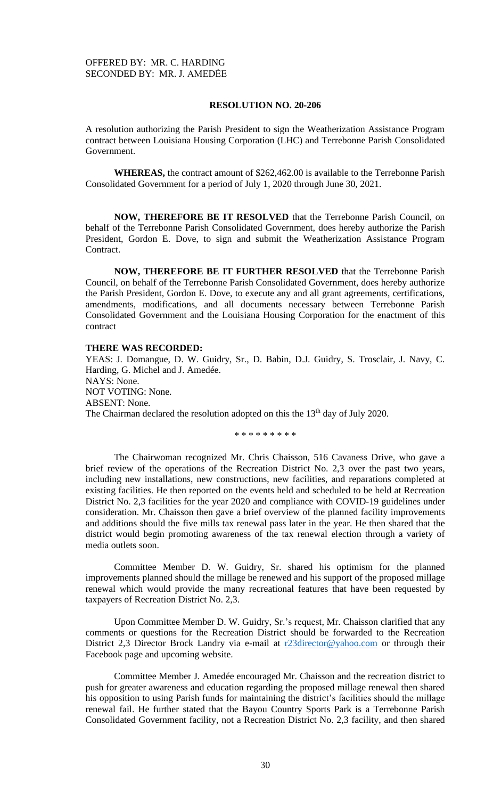A resolution authorizing the Parish President to sign the Weatherization Assistance Program contract between Louisiana Housing Corporation (LHC) and Terrebonne Parish Consolidated Government.

**WHEREAS,** the contract amount of \$262,462.00 is available to the Terrebonne Parish Consolidated Government for a period of July 1, 2020 through June 30, 2021.

**NOW, THEREFORE BE IT RESOLVED** that the Terrebonne Parish Council, on behalf of the Terrebonne Parish Consolidated Government, does hereby authorize the Parish President, Gordon E. Dove, to sign and submit the Weatherization Assistance Program Contract.

**NOW, THEREFORE BE IT FURTHER RESOLVED** that the Terrebonne Parish Council, on behalf of the Terrebonne Parish Consolidated Government, does hereby authorize the Parish President, Gordon E. Dove, to execute any and all grant agreements, certifications, amendments, modifications, and all documents necessary between Terrebonne Parish Consolidated Government and the Louisiana Housing Corporation for the enactment of this contract

# **THERE WAS RECORDED:**

YEAS: J. Domangue, D. W. Guidry, Sr., D. Babin, D.J. Guidry, S. Trosclair, J. Navy, C. Harding, G. Michel and J. Amedée. NAYS: None. NOT VOTING: None. ABSENT: None. The Chairman declared the resolution adopted on this the  $13<sup>th</sup>$  day of July 2020.

\* \* \* \* \* \* \* \* \*

The Chairwoman recognized Mr. Chris Chaisson, 516 Cavaness Drive, who gave a brief review of the operations of the Recreation District No. 2,3 over the past two years, including new installations, new constructions, new facilities, and reparations completed at existing facilities. He then reported on the events held and scheduled to be held at Recreation District No. 2,3 facilities for the year 2020 and compliance with COVID-19 guidelines under consideration. Mr. Chaisson then gave a brief overview of the planned facility improvements and additions should the five mills tax renewal pass later in the year. He then shared that the district would begin promoting awareness of the tax renewal election through a variety of media outlets soon.

Committee Member D. W. Guidry, Sr. shared his optimism for the planned improvements planned should the millage be renewed and his support of the proposed millage renewal which would provide the many recreational features that have been requested by taxpayers of Recreation District No. 2,3.

Upon Committee Member D. W. Guidry, Sr.'s request, Mr. Chaisson clarified that any comments or questions for the Recreation District should be forwarded to the Recreation District 2,3 Director Brock Landry via e-mail at [r23director@yahoo.com](mailto:r23director@yahoo.com) or through their Facebook page and upcoming website.

Committee Member J. Amedée encouraged Mr. Chaisson and the recreation district to push for greater awareness and education regarding the proposed millage renewal then shared his opposition to using Parish funds for maintaining the district's facilities should the millage renewal fail. He further stated that the Bayou Country Sports Park is a Terrebonne Parish Consolidated Government facility, not a Recreation District No. 2,3 facility, and then shared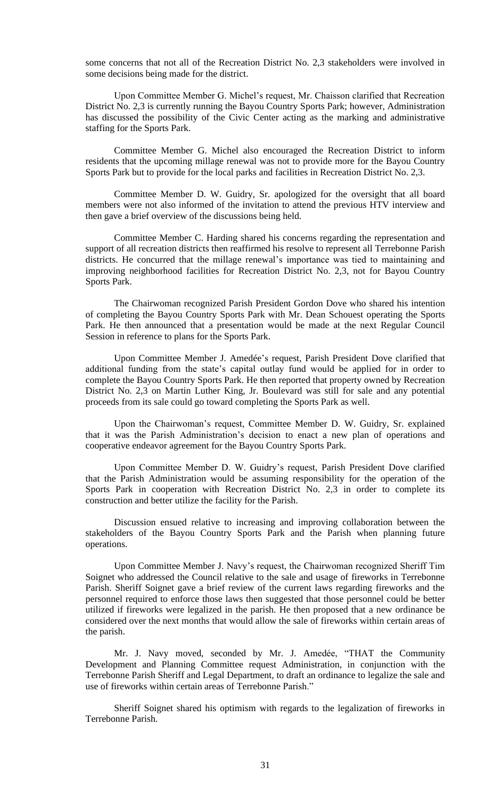some concerns that not all of the Recreation District No. 2,3 stakeholders were involved in some decisions being made for the district.

Upon Committee Member G. Michel's request, Mr. Chaisson clarified that Recreation District No. 2,3 is currently running the Bayou Country Sports Park; however, Administration has discussed the possibility of the Civic Center acting as the marking and administrative staffing for the Sports Park.

Committee Member G. Michel also encouraged the Recreation District to inform residents that the upcoming millage renewal was not to provide more for the Bayou Country Sports Park but to provide for the local parks and facilities in Recreation District No. 2,3.

Committee Member D. W. Guidry, Sr. apologized for the oversight that all board members were not also informed of the invitation to attend the previous HTV interview and then gave a brief overview of the discussions being held.

Committee Member C. Harding shared his concerns regarding the representation and support of all recreation districts then reaffirmed his resolve to represent all Terrebonne Parish districts. He concurred that the millage renewal's importance was tied to maintaining and improving neighborhood facilities for Recreation District No. 2,3, not for Bayou Country Sports Park.

The Chairwoman recognized Parish President Gordon Dove who shared his intention of completing the Bayou Country Sports Park with Mr. Dean Schouest operating the Sports Park. He then announced that a presentation would be made at the next Regular Council Session in reference to plans for the Sports Park.

Upon Committee Member J. Amedée's request, Parish President Dove clarified that additional funding from the state's capital outlay fund would be applied for in order to complete the Bayou Country Sports Park. He then reported that property owned by Recreation District No. 2,3 on Martin Luther King, Jr. Boulevard was still for sale and any potential proceeds from its sale could go toward completing the Sports Park as well.

Upon the Chairwoman's request, Committee Member D. W. Guidry, Sr. explained that it was the Parish Administration's decision to enact a new plan of operations and cooperative endeavor agreement for the Bayou Country Sports Park.

Upon Committee Member D. W. Guidry's request, Parish President Dove clarified that the Parish Administration would be assuming responsibility for the operation of the Sports Park in cooperation with Recreation District No. 2,3 in order to complete its construction and better utilize the facility for the Parish.

Discussion ensued relative to increasing and improving collaboration between the stakeholders of the Bayou Country Sports Park and the Parish when planning future operations.

Upon Committee Member J. Navy's request, the Chairwoman recognized Sheriff Tim Soignet who addressed the Council relative to the sale and usage of fireworks in Terrebonne Parish. Sheriff Soignet gave a brief review of the current laws regarding fireworks and the personnel required to enforce those laws then suggested that those personnel could be better utilized if fireworks were legalized in the parish. He then proposed that a new ordinance be considered over the next months that would allow the sale of fireworks within certain areas of the parish.

Mr. J. Navy moved, seconded by Mr. J. Amedée, "THAT the Community Development and Planning Committee request Administration, in conjunction with the Terrebonne Parish Sheriff and Legal Department, to draft an ordinance to legalize the sale and use of fireworks within certain areas of Terrebonne Parish."

Sheriff Soignet shared his optimism with regards to the legalization of fireworks in Terrebonne Parish.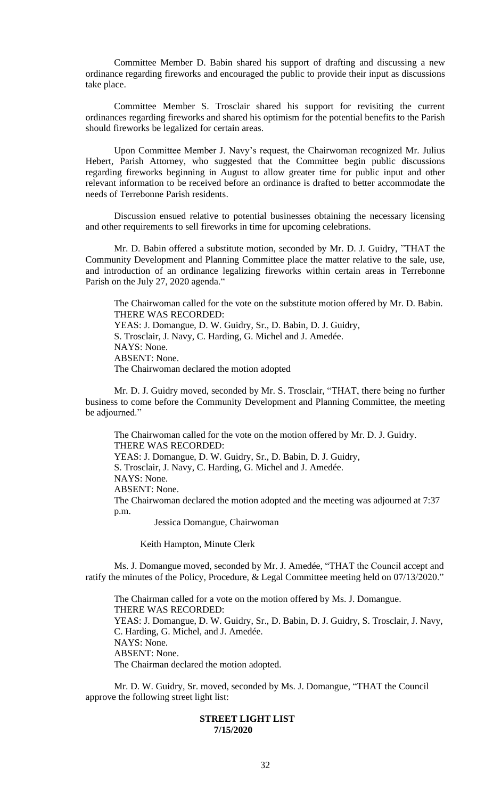Committee Member D. Babin shared his support of drafting and discussing a new ordinance regarding fireworks and encouraged the public to provide their input as discussions take place.

Committee Member S. Trosclair shared his support for revisiting the current ordinances regarding fireworks and shared his optimism for the potential benefits to the Parish should fireworks be legalized for certain areas.

Upon Committee Member J. Navy's request, the Chairwoman recognized Mr. Julius Hebert, Parish Attorney, who suggested that the Committee begin public discussions regarding fireworks beginning in August to allow greater time for public input and other relevant information to be received before an ordinance is drafted to better accommodate the needs of Terrebonne Parish residents.

Discussion ensued relative to potential businesses obtaining the necessary licensing and other requirements to sell fireworks in time for upcoming celebrations.

Mr. D. Babin offered a substitute motion, seconded by Mr. D. J. Guidry, "THAT the Community Development and Planning Committee place the matter relative to the sale, use, and introduction of an ordinance legalizing fireworks within certain areas in Terrebonne Parish on the July 27, 2020 agenda."

The Chairwoman called for the vote on the substitute motion offered by Mr. D. Babin. THERE WAS RECORDED: YEAS: J. Domangue, D. W. Guidry, Sr., D. Babin, D. J. Guidry, S. Trosclair, J. Navy, C. Harding, G. Michel and J. Amedée. NAYS: None. ABSENT: None. The Chairwoman declared the motion adopted

Mr. D. J. Guidry moved, seconded by Mr. S. Trosclair, "THAT, there being no further business to come before the Community Development and Planning Committee, the meeting be adjourned."

The Chairwoman called for the vote on the motion offered by Mr. D. J. Guidry. THERE WAS RECORDED: YEAS: J. Domangue, D. W. Guidry, Sr., D. Babin, D. J. Guidry, S. Trosclair, J. Navy, C. Harding, G. Michel and J. Amedée. NAYS: None. ABSENT: None. The Chairwoman declared the motion adopted and the meeting was adjourned at 7:37 p.m. Jessica Domangue, Chairwoman

Keith Hampton, Minute Clerk

Ms. J. Domangue moved, seconded by Mr. J. Amedée, "THAT the Council accept and ratify the minutes of the Policy, Procedure, & Legal Committee meeting held on 07/13/2020."

The Chairman called for a vote on the motion offered by Ms. J. Domangue. THERE WAS RECORDED: YEAS: J. Domangue, D. W. Guidry, Sr., D. Babin, D. J. Guidry, S. Trosclair, J. Navy, C. Harding, G. Michel, and J. Amedée. NAYS: None. ABSENT: None. The Chairman declared the motion adopted.

Mr. D. W. Guidry, Sr. moved, seconded by Ms. J. Domangue, "THAT the Council approve the following street light list:

# **STREET LIGHT LIST 7/15/2020**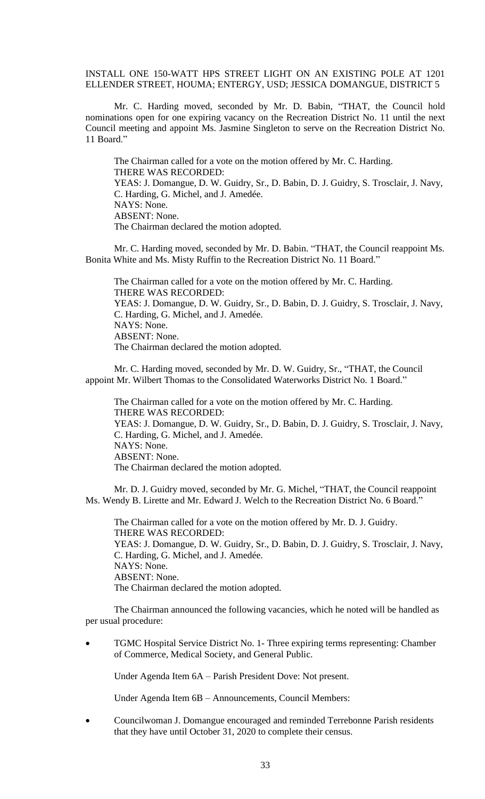INSTALL ONE 150-WATT HPS STREET LIGHT ON AN EXISTING POLE AT 1201 ELLENDER STREET, HOUMA; ENTERGY, USD; JESSICA DOMANGUE, DISTRICT 5

Mr. C. Harding moved, seconded by Mr. D. Babin, "THAT, the Council hold nominations open for one expiring vacancy on the Recreation District No. 11 until the next Council meeting and appoint Ms. Jasmine Singleton to serve on the Recreation District No. 11 Board."

The Chairman called for a vote on the motion offered by Mr. C. Harding. THERE WAS RECORDED: YEAS: J. Domangue, D. W. Guidry, Sr., D. Babin, D. J. Guidry, S. Trosclair, J. Navy, C. Harding, G. Michel, and J. Amedée. NAYS: None. ABSENT: None. The Chairman declared the motion adopted.

Mr. C. Harding moved, seconded by Mr. D. Babin. "THAT, the Council reappoint Ms. Bonita White and Ms. Misty Ruffin to the Recreation District No. 11 Board."

The Chairman called for a vote on the motion offered by Mr. C. Harding. THERE WAS RECORDED: YEAS: J. Domangue, D. W. Guidry, Sr., D. Babin, D. J. Guidry, S. Trosclair, J. Navy, C. Harding, G. Michel, and J. Amedée. NAYS: None. ABSENT: None. The Chairman declared the motion adopted.

Mr. C. Harding moved, seconded by Mr. D. W. Guidry, Sr., "THAT, the Council appoint Mr. Wilbert Thomas to the Consolidated Waterworks District No. 1 Board."

The Chairman called for a vote on the motion offered by Mr. C. Harding. THERE WAS RECORDED: YEAS: J. Domangue, D. W. Guidry, Sr., D. Babin, D. J. Guidry, S. Trosclair, J. Navy, C. Harding, G. Michel, and J. Amedée. NAYS: None. ABSENT: None. The Chairman declared the motion adopted.

Mr. D. J. Guidry moved, seconded by Mr. G. Michel, "THAT, the Council reappoint Ms. Wendy B. Lirette and Mr. Edward J. Welch to the Recreation District No. 6 Board."

The Chairman called for a vote on the motion offered by Mr. D. J. Guidry. THERE WAS RECORDED: YEAS: J. Domangue, D. W. Guidry, Sr., D. Babin, D. J. Guidry, S. Trosclair, J. Navy, C. Harding, G. Michel, and J. Amedée. NAYS: None. ABSENT: None. The Chairman declared the motion adopted.

The Chairman announced the following vacancies, which he noted will be handled as per usual procedure:

• TGMC Hospital Service District No. 1- Three expiring terms representing: Chamber of Commerce, Medical Society, and General Public.

Under Agenda Item 6A – Parish President Dove: Not present.

Under Agenda Item 6B – Announcements, Council Members:

• Councilwoman J. Domangue encouraged and reminded Terrebonne Parish residents that they have until October 31, 2020 to complete their census.